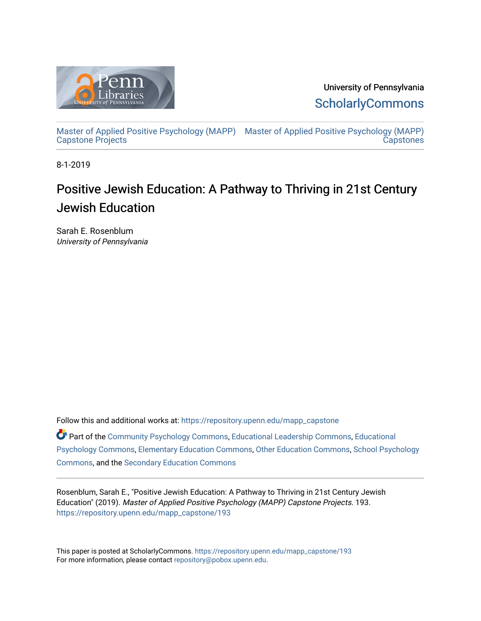

University of Pennsylvania **ScholarlyCommons** 

[Master of Applied Positive Psychology \(MAPP\)](https://repository.upenn.edu/mapp_capstone) [Master of Applied Positive Psychology \(MAPP\)](https://repository.upenn.edu/mapp_capstones)  [Capstone Projects](https://repository.upenn.edu/mapp_capstone)  **Capstones** 

8-1-2019

# Positive Jewish Education: A Pathway to Thriving in 21st Century Jewish Education

Sarah E. Rosenblum University of Pennsylvania

Follow this and additional works at: [https://repository.upenn.edu/mapp\\_capstone](https://repository.upenn.edu/mapp_capstone?utm_source=repository.upenn.edu%2Fmapp_capstone%2F193&utm_medium=PDF&utm_campaign=PDFCoverPages) 

Part of the [Community Psychology Commons,](http://network.bepress.com/hgg/discipline/409?utm_source=repository.upenn.edu%2Fmapp_capstone%2F193&utm_medium=PDF&utm_campaign=PDFCoverPages) [Educational Leadership Commons](http://network.bepress.com/hgg/discipline/1230?utm_source=repository.upenn.edu%2Fmapp_capstone%2F193&utm_medium=PDF&utm_campaign=PDFCoverPages), [Educational](http://network.bepress.com/hgg/discipline/798?utm_source=repository.upenn.edu%2Fmapp_capstone%2F193&utm_medium=PDF&utm_campaign=PDFCoverPages)  [Psychology Commons,](http://network.bepress.com/hgg/discipline/798?utm_source=repository.upenn.edu%2Fmapp_capstone%2F193&utm_medium=PDF&utm_campaign=PDFCoverPages) [Elementary Education Commons](http://network.bepress.com/hgg/discipline/1378?utm_source=repository.upenn.edu%2Fmapp_capstone%2F193&utm_medium=PDF&utm_campaign=PDFCoverPages), [Other Education Commons,](http://network.bepress.com/hgg/discipline/811?utm_source=repository.upenn.edu%2Fmapp_capstone%2F193&utm_medium=PDF&utm_campaign=PDFCoverPages) [School Psychology](http://network.bepress.com/hgg/discipline/1072?utm_source=repository.upenn.edu%2Fmapp_capstone%2F193&utm_medium=PDF&utm_campaign=PDFCoverPages)  [Commons](http://network.bepress.com/hgg/discipline/1072?utm_source=repository.upenn.edu%2Fmapp_capstone%2F193&utm_medium=PDF&utm_campaign=PDFCoverPages), and the [Secondary Education Commons](http://network.bepress.com/hgg/discipline/1382?utm_source=repository.upenn.edu%2Fmapp_capstone%2F193&utm_medium=PDF&utm_campaign=PDFCoverPages) 

Rosenblum, Sarah E., "Positive Jewish Education: A Pathway to Thriving in 21st Century Jewish Education" (2019). Master of Applied Positive Psychology (MAPP) Capstone Projects. 193. [https://repository.upenn.edu/mapp\\_capstone/193](https://repository.upenn.edu/mapp_capstone/193?utm_source=repository.upenn.edu%2Fmapp_capstone%2F193&utm_medium=PDF&utm_campaign=PDFCoverPages) 

This paper is posted at ScholarlyCommons. [https://repository.upenn.edu/mapp\\_capstone/193](https://repository.upenn.edu/mapp_capstone/193)  For more information, please contact [repository@pobox.upenn.edu.](mailto:repository@pobox.upenn.edu)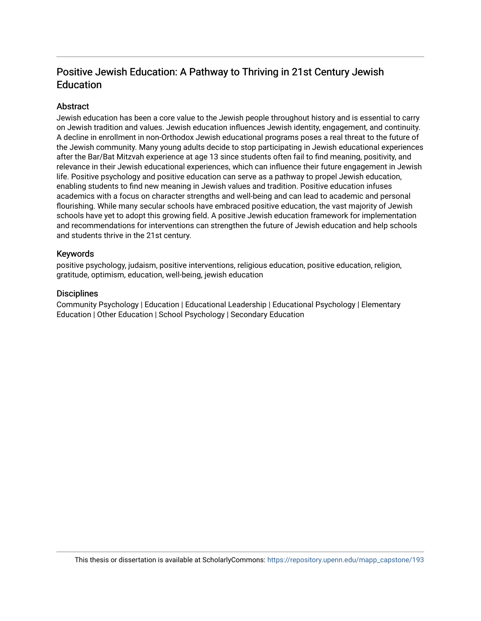# Positive Jewish Education: A Pathway to Thriving in 21st Century Jewish Education

# Abstract

Jewish education has been a core value to the Jewish people throughout history and is essential to carry on Jewish tradition and values. Jewish education influences Jewish identity, engagement, and continuity. A decline in enrollment in non-Orthodox Jewish educational programs poses a real threat to the future of the Jewish community. Many young adults decide to stop participating in Jewish educational experiences after the Bar/Bat Mitzvah experience at age 13 since students often fail to find meaning, positivity, and relevance in their Jewish educational experiences, which can influence their future engagement in Jewish life. Positive psychology and positive education can serve as a pathway to propel Jewish education, enabling students to find new meaning in Jewish values and tradition. Positive education infuses academics with a focus on character strengths and well-being and can lead to academic and personal flourishing. While many secular schools have embraced positive education, the vast majority of Jewish schools have yet to adopt this growing field. A positive Jewish education framework for implementation and recommendations for interventions can strengthen the future of Jewish education and help schools and students thrive in the 21st century.

# Keywords

positive psychology, judaism, positive interventions, religious education, positive education, religion, gratitude, optimism, education, well-being, jewish education

# **Disciplines**

Community Psychology | Education | Educational Leadership | Educational Psychology | Elementary Education | Other Education | School Psychology | Secondary Education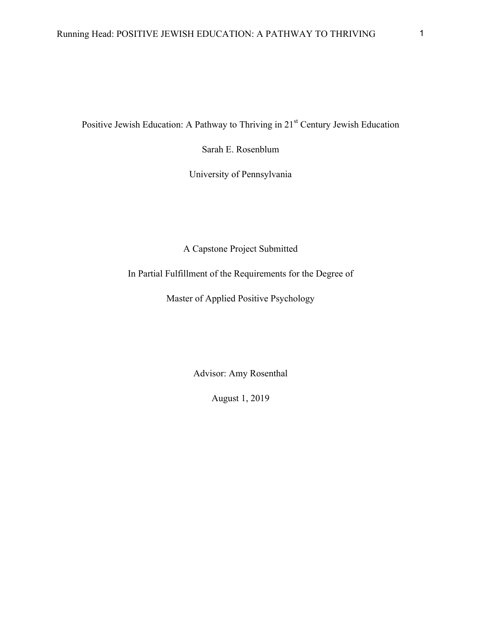Positive Jewish Education: A Pathway to Thriving in 21<sup>st</sup> Century Jewish Education

Sarah E. Rosenblum

University of Pennsylvania

A Capstone Project Submitted

In Partial Fulfillment of the Requirements for the Degree of

Master of Applied Positive Psychology

Advisor: Amy Rosenthal

August 1, 2019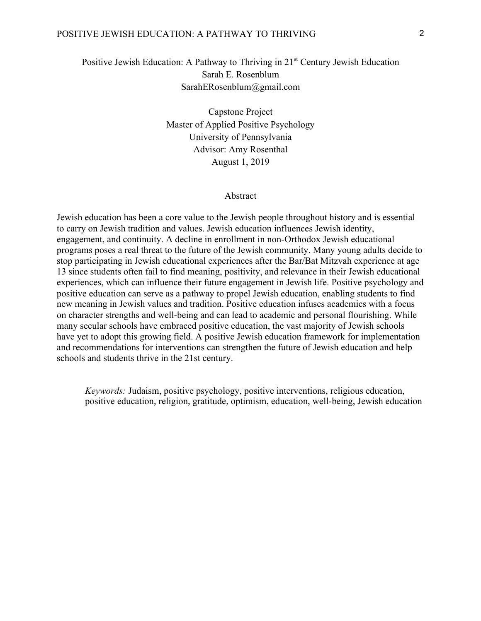#### POSITIVE JEWISH EDUCATION: A PATHWAY TO THRIVING 2

# Positive Jewish Education: A Pathway to Thriving in  $21<sup>st</sup>$  Century Jewish Education Sarah E. Rosenblum SarahERosenblum@gmail.com

Capstone Project Master of Applied Positive Psychology University of Pennsylvania Advisor: Amy Rosenthal August 1, 2019

# Abstract

Jewish education has been a core value to the Jewish people throughout history and is essential to carry on Jewish tradition and values. Jewish education influences Jewish identity, engagement, and continuity. A decline in enrollment in non-Orthodox Jewish educational programs poses a real threat to the future of the Jewish community. Many young adults decide to stop participating in Jewish educational experiences after the Bar/Bat Mitzvah experience at age 13 since students often fail to find meaning, positivity, and relevance in their Jewish educational experiences, which can influence their future engagement in Jewish life. Positive psychology and positive education can serve as a pathway to propel Jewish education, enabling students to find new meaning in Jewish values and tradition. Positive education infuses academics with a focus on character strengths and well-being and can lead to academic and personal flourishing. While many secular schools have embraced positive education, the vast majority of Jewish schools have yet to adopt this growing field. A positive Jewish education framework for implementation and recommendations for interventions can strengthen the future of Jewish education and help schools and students thrive in the 21st century.

*Keywords:* Judaism, positive psychology, positive interventions, religious education, positive education, religion, gratitude, optimism, education, well-being, Jewish education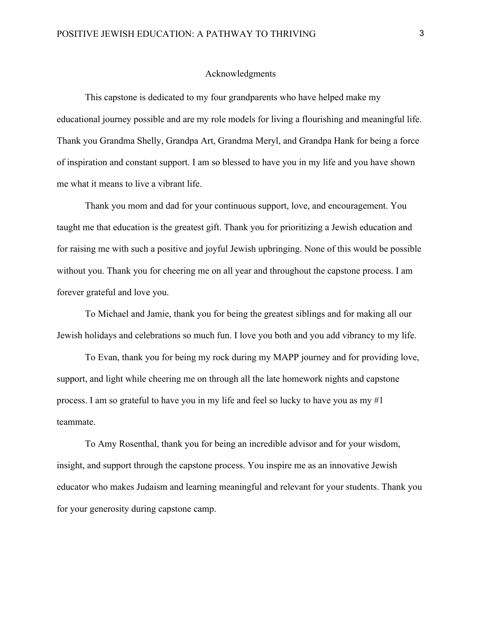#### Acknowledgments

This capstone is dedicated to my four grandparents who have helped make my educational journey possible and are my role models for living a flourishing and meaningful life. Thank you Grandma Shelly, Grandpa Art, Grandma Meryl, and Grandpa Hank for being a force of inspiration and constant support. I am so blessed to have you in my life and you have shown me what it means to live a vibrant life.

Thank you mom and dad for your continuous support, love, and encouragement. You taught me that education is the greatest gift. Thank you for prioritizing a Jewish education and for raising me with such a positive and joyful Jewish upbringing. None of this would be possible without you. Thank you for cheering me on all year and throughout the capstone process. I am forever grateful and love you.

To Michael and Jamie, thank you for being the greatest siblings and for making all our Jewish holidays and celebrations so much fun. I love you both and you add vibrancy to my life.

To Evan, thank you for being my rock during my MAPP journey and for providing love, support, and light while cheering me on through all the late homework nights and capstone process. I am so grateful to have you in my life and feel so lucky to have you as my #1 teammate.

To Amy Rosenthal, thank you for being an incredible advisor and for your wisdom, insight, and support through the capstone process. You inspire me as an innovative Jewish educator who makes Judaism and learning meaningful and relevant for your students. Thank you for your generosity during capstone camp.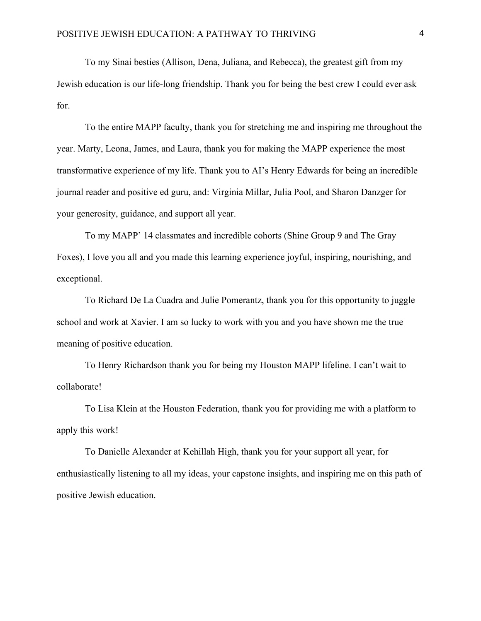To my Sinai besties (Allison, Dena, Juliana, and Rebecca), the greatest gift from my Jewish education is our life-long friendship. Thank you for being the best crew I could ever ask for.

To the entire MAPP faculty, thank you for stretching me and inspiring me throughout the year. Marty, Leona, James, and Laura, thank you for making the MAPP experience the most transformative experience of my life. Thank you to AI's Henry Edwards for being an incredible journal reader and positive ed guru, and: Virginia Millar, Julia Pool, and Sharon Danzger for your generosity, guidance, and support all year.

To my MAPP' 14 classmates and incredible cohorts (Shine Group 9 and The Gray Foxes), I love you all and you made this learning experience joyful, inspiring, nourishing, and exceptional.

To Richard De La Cuadra and Julie Pomerantz, thank you for this opportunity to juggle school and work at Xavier. I am so lucky to work with you and you have shown me the true meaning of positive education.

To Henry Richardson thank you for being my Houston MAPP lifeline. I can't wait to collaborate!

To Lisa Klein at the Houston Federation, thank you for providing me with a platform to apply this work!

To Danielle Alexander at Kehillah High, thank you for your support all year, for enthusiastically listening to all my ideas, your capstone insights, and inspiring me on this path of positive Jewish education.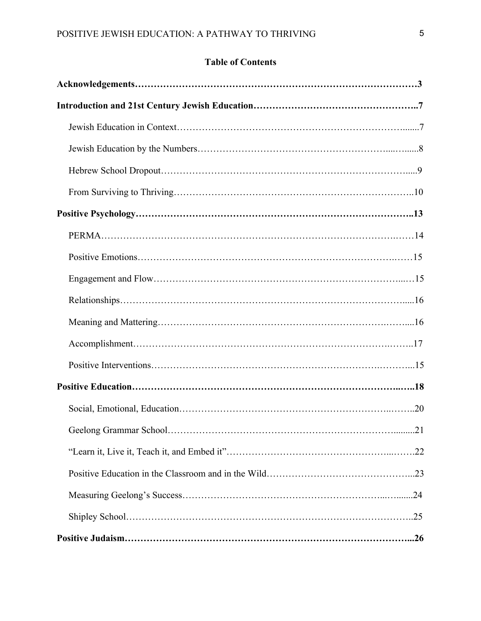# **Table of Contents**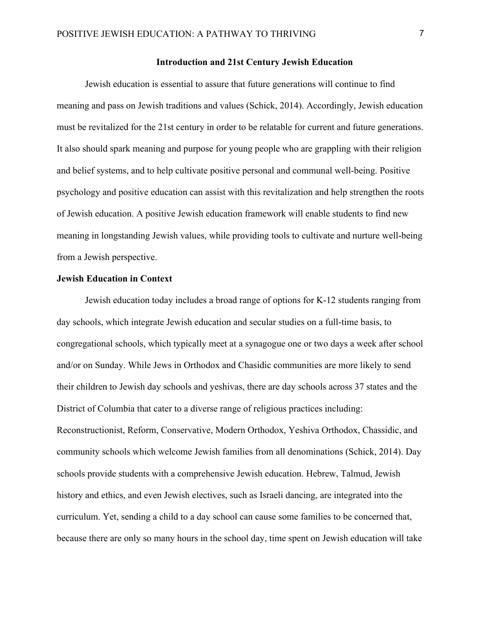# **Introduction and 21st Century Jewish Education**

Jewish education is essential to assure that future generations will continue to find meaning and pass on Jewish traditions and values (Schick, 2014). Accordingly, Jewish education must be revitalized for the 21st century in order to be relatable for current and future generations. It also should spark meaning and purpose for young people who are grappling with their religion and belief systems, and to help cultivate positive personal and communal well-being. Positive psychology and positive education can assist with this revitalization and help strengthen the roots of Jewish education. A positive Jewish education framework will enable students to find new meaning in longstanding Jewish values, while providing tools to cultivate and nurture well-being from a Jewish perspective.

# **Jewish Education in Context**

Jewish education today includes a broad range of options for K-12 students ranging from day schools, which integrate Jewish education and secular studies on a full-time basis, to congregational schools, which typically meet at a synagogue one or two days a week after school and/or on Sunday. While Jews in Orthodox and Chasidic communities are more likely to send their children to Jewish day schools and yeshivas, there are day schools across 37 states and the District of Columbia that cater to a diverse range of religious practices including: Reconstructionist, Reform, Conservative, Modern Orthodox, Yeshiva Orthodox, Chassidic, and community schools which welcome Jewish families from all denominations (Schick, 2014). Day schools provide students with a comprehensive Jewish education. Hebrew, Talmud, Jewish history and ethics, and even Jewish electives, such as Israeli dancing, are integrated into the curriculum. Yet, sending a child to a day school can cause some families to be concerned that, because there are only so many hours in the school day, time spent on Jewish education will take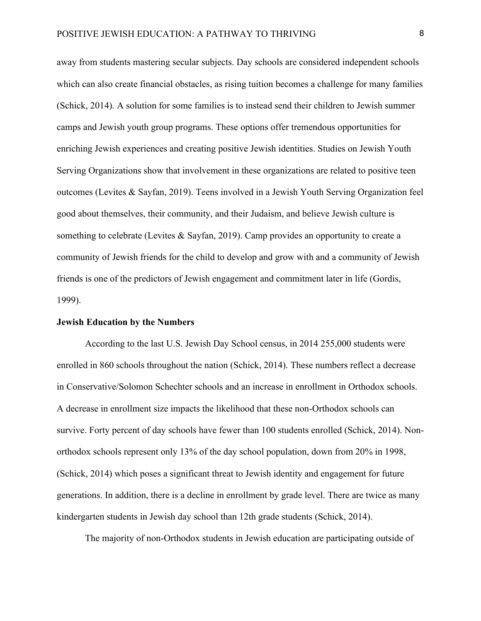away from students mastering secular subjects. Day schools are considered independent schools which can also create financial obstacles, as rising tuition becomes a challenge for many families (Schick, 2014). A solution for some families is to instead send their children to Jewish summer camps and Jewish youth group programs. These options offer tremendous opportunities for enriching Jewish experiences and creating positive Jewish identities. Studies on Jewish Youth Serving Organizations show that involvement in these organizations are related to positive teen outcomes (Levites & Sayfan, 2019). Teens involved in a Jewish Youth Serving Organization feel good about themselves, their community, and their Judaism, and believe Jewish culture is something to celebrate (Levites & Sayfan, 2019). Camp provides an opportunity to create a community of Jewish friends for the child to develop and grow with and a community of Jewish friends is one of the predictors of Jewish engagement and commitment later in life (Gordis, 1999).

#### **Jewish Education by the Numbers**

According to the last U.S. Jewish Day School census, in 2014 255,000 students were enrolled in 860 schools throughout the nation (Schick, 2014). These numbers reflect a decrease in Conservative/Solomon Schechter schools and an increase in enrollment in Orthodox schools. A decrease in enrollment size impacts the likelihood that these non-Orthodox schools can survive. Forty percent of day schools have fewer than 100 students enrolled (Schick, 2014). Nonorthodox schools represent only 13% of the day school population, down from 20% in 1998, (Schick, 2014) which poses a significant threat to Jewish identity and engagement for future generations. In addition, there is a decline in enrollment by grade level. There are twice as many kindergarten students in Jewish day school than 12th grade students (Schick, 2014).

The majority of non-Orthodox students in Jewish education are participating outside of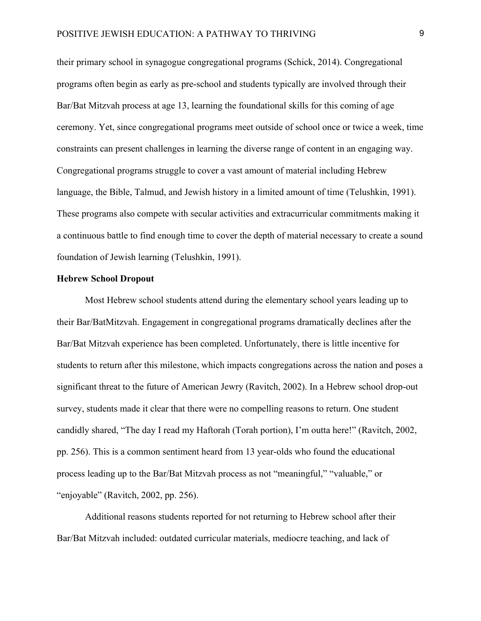their primary school in synagogue congregational programs (Schick, 2014). Congregational programs often begin as early as pre-school and students typically are involved through their Bar/Bat Mitzvah process at age 13, learning the foundational skills for this coming of age ceremony. Yet, since congregational programs meet outside of school once or twice a week, time constraints can present challenges in learning the diverse range of content in an engaging way. Congregational programs struggle to cover a vast amount of material including Hebrew language, the Bible, Talmud, and Jewish history in a limited amount of time (Telushkin, 1991). These programs also compete with secular activities and extracurricular commitments making it a continuous battle to find enough time to cover the depth of material necessary to create a sound foundation of Jewish learning (Telushkin, 1991).

#### **Hebrew School Dropout**

Most Hebrew school students attend during the elementary school years leading up to their Bar/BatMitzvah. Engagement in congregational programs dramatically declines after the Bar/Bat Mitzvah experience has been completed. Unfortunately, there is little incentive for students to return after this milestone, which impacts congregations across the nation and poses a significant threat to the future of American Jewry (Ravitch, 2002). In a Hebrew school drop-out survey, students made it clear that there were no compelling reasons to return. One student candidly shared, "The day I read my Haftorah (Torah portion), I'm outta here!" (Ravitch, 2002, pp. 256). This is a common sentiment heard from 13 year-olds who found the educational process leading up to the Bar/Bat Mitzvah process as not "meaningful," "valuable," or "enjoyable" (Ravitch, 2002, pp. 256).

Additional reasons students reported for not returning to Hebrew school after their Bar/Bat Mitzvah included: outdated curricular materials, mediocre teaching, and lack of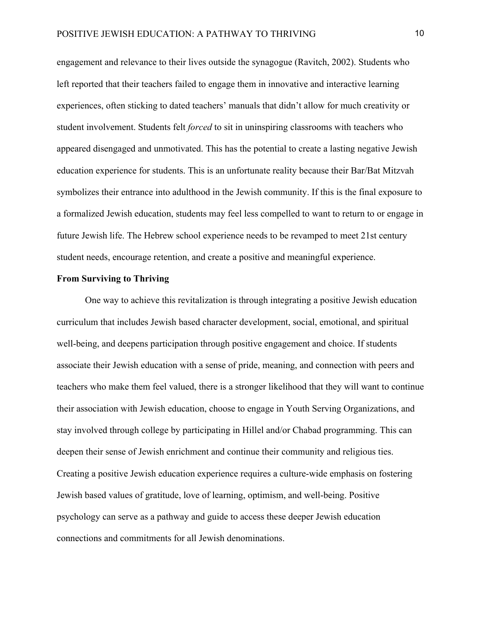engagement and relevance to their lives outside the synagogue (Ravitch, 2002). Students who left reported that their teachers failed to engage them in innovative and interactive learning experiences, often sticking to dated teachers' manuals that didn't allow for much creativity or student involvement. Students felt *forced* to sit in uninspiring classrooms with teachers who appeared disengaged and unmotivated. This has the potential to create a lasting negative Jewish education experience for students. This is an unfortunate reality because their Bar/Bat Mitzvah symbolizes their entrance into adulthood in the Jewish community. If this is the final exposure to a formalized Jewish education, students may feel less compelled to want to return to or engage in future Jewish life. The Hebrew school experience needs to be revamped to meet 21st century student needs, encourage retention, and create a positive and meaningful experience.

# **From Surviving to Thriving**

One way to achieve this revitalization is through integrating a positive Jewish education curriculum that includes Jewish based character development, social, emotional, and spiritual well-being, and deepens participation through positive engagement and choice. If students associate their Jewish education with a sense of pride, meaning, and connection with peers and teachers who make them feel valued, there is a stronger likelihood that they will want to continue their association with Jewish education, choose to engage in Youth Serving Organizations, and stay involved through college by participating in Hillel and/or Chabad programming. This can deepen their sense of Jewish enrichment and continue their community and religious ties. Creating a positive Jewish education experience requires a culture-wide emphasis on fostering Jewish based values of gratitude, love of learning, optimism, and well-being. Positive psychology can serve as a pathway and guide to access these deeper Jewish education connections and commitments for all Jewish denominations.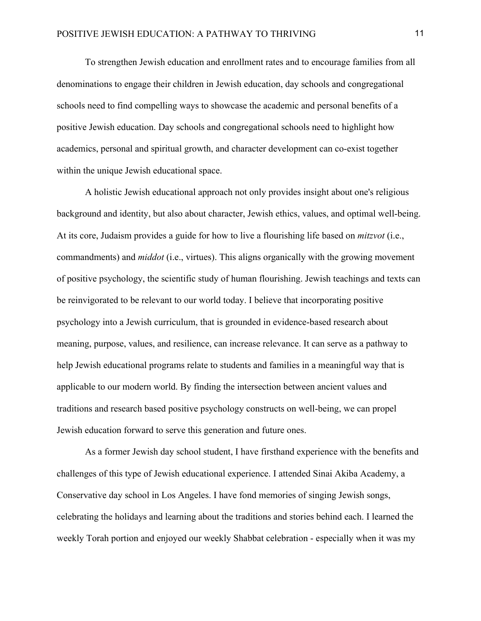To strengthen Jewish education and enrollment rates and to encourage families from all denominations to engage their children in Jewish education, day schools and congregational schools need to find compelling ways to showcase the academic and personal benefits of a positive Jewish education. Day schools and congregational schools need to highlight how academics, personal and spiritual growth, and character development can co-exist together within the unique Jewish educational space.

A holistic Jewish educational approach not only provides insight about one's religious background and identity, but also about character, Jewish ethics, values, and optimal well-being. At its core, Judaism provides a guide for how to live a flourishing life based on *mitzvot* (i.e., commandments) and *middot* (i.e., virtues). This aligns organically with the growing movement of positive psychology, the scientific study of human flourishing. Jewish teachings and texts can be reinvigorated to be relevant to our world today. I believe that incorporating positive psychology into a Jewish curriculum, that is grounded in evidence-based research about meaning, purpose, values, and resilience, can increase relevance. It can serve as a pathway to help Jewish educational programs relate to students and families in a meaningful way that is applicable to our modern world. By finding the intersection between ancient values and traditions and research based positive psychology constructs on well-being, we can propel Jewish education forward to serve this generation and future ones.

As a former Jewish day school student, I have firsthand experience with the benefits and challenges of this type of Jewish educational experience. I attended Sinai Akiba Academy, a Conservative day school in Los Angeles. I have fond memories of singing Jewish songs, celebrating the holidays and learning about the traditions and stories behind each. I learned the weekly Torah portion and enjoyed our weekly Shabbat celebration - especially when it was my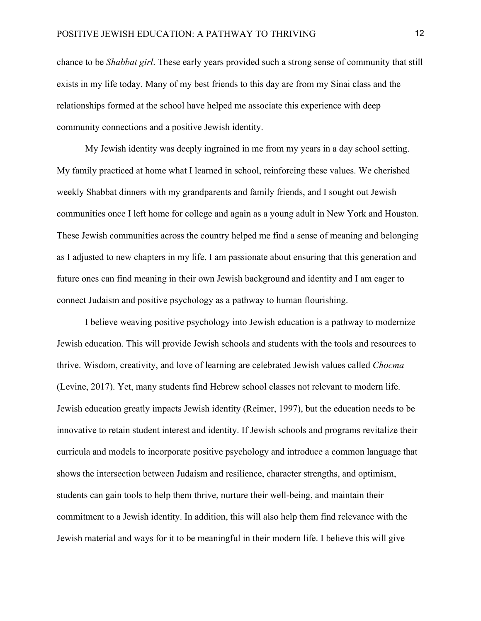chance to be *Shabbat girl*. These early years provided such a strong sense of community that still exists in my life today. Many of my best friends to this day are from my Sinai class and the relationships formed at the school have helped me associate this experience with deep community connections and a positive Jewish identity.

My Jewish identity was deeply ingrained in me from my years in a day school setting. My family practiced at home what I learned in school, reinforcing these values. We cherished weekly Shabbat dinners with my grandparents and family friends, and I sought out Jewish communities once I left home for college and again as a young adult in New York and Houston. These Jewish communities across the country helped me find a sense of meaning and belonging as I adjusted to new chapters in my life. I am passionate about ensuring that this generation and future ones can find meaning in their own Jewish background and identity and I am eager to connect Judaism and positive psychology as a pathway to human flourishing.

I believe weaving positive psychology into Jewish education is a pathway to modernize Jewish education. This will provide Jewish schools and students with the tools and resources to thrive. Wisdom, creativity, and love of learning are celebrated Jewish values called *Chocma* (Levine, 2017). Yet, many students find Hebrew school classes not relevant to modern life. Jewish education greatly impacts Jewish identity (Reimer, 1997), but the education needs to be innovative to retain student interest and identity. If Jewish schools and programs revitalize their curricula and models to incorporate positive psychology and introduce a common language that shows the intersection between Judaism and resilience, character strengths, and optimism, students can gain tools to help them thrive, nurture their well-being, and maintain their commitment to a Jewish identity. In addition, this will also help them find relevance with the Jewish material and ways for it to be meaningful in their modern life. I believe this will give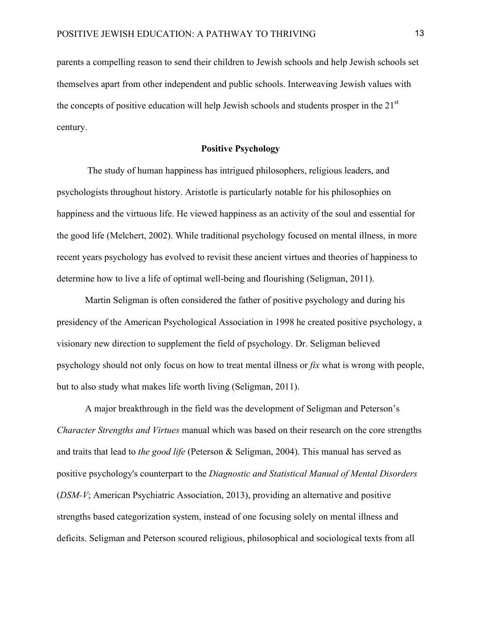parents a compelling reason to send their children to Jewish schools and help Jewish schools set themselves apart from other independent and public schools. Interweaving Jewish values with the concepts of positive education will help Jewish schools and students prosper in the 21<sup>st</sup> century.

# **Positive Psychology**

The study of human happiness has intrigued philosophers, religious leaders, and psychologists throughout history. Aristotle is particularly notable for his philosophies on happiness and the virtuous life. He viewed happiness as an activity of the soul and essential for the good life (Melchert, 2002). While traditional psychology focused on mental illness, in more recent years psychology has evolved to revisit these ancient virtues and theories of happiness to determine how to live a life of optimal well-being and flourishing (Seligman, 2011).

Martin Seligman is often considered the father of positive psychology and during his presidency of the American Psychological Association in 1998 he created positive psychology, a visionary new direction to supplement the field of psychology. Dr. Seligman believed psychology should not only focus on how to treat mental illness or *fix* what is wrong with people, but to also study what makes life worth living (Seligman, 2011).

A major breakthrough in the field was the development of Seligman and Peterson's *Character Strengths and Virtues* manual which was based on their research on the core strengths and traits that lead to *the good life* (Peterson & Seligman, 2004). This manual has served as positive psychology's counterpart to the *Diagnostic and Statistical Manual of Mental Disorders* (*DSM-V*; American Psychiatric Association, 2013), providing an alternative and positive strengths based categorization system, instead of one focusing solely on mental illness and deficits. Seligman and Peterson scoured religious, philosophical and sociological texts from all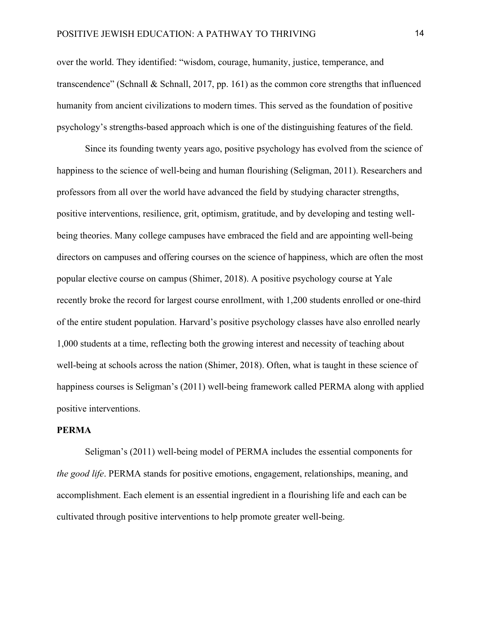over the world. They identified: "wisdom, courage, humanity, justice, temperance, and transcendence" (Schnall & Schnall, 2017, pp. 161) as the common core strengths that influenced humanity from ancient civilizations to modern times. This served as the foundation of positive psychology's strengths-based approach which is one of the distinguishing features of the field.

Since its founding twenty years ago, positive psychology has evolved from the science of happiness to the science of well-being and human flourishing (Seligman, 2011). Researchers and professors from all over the world have advanced the field by studying character strengths, positive interventions, resilience, grit, optimism, gratitude, and by developing and testing wellbeing theories. Many college campuses have embraced the field and are appointing well-being directors on campuses and offering courses on the science of happiness, which are often the most popular elective course on campus (Shimer, 2018). A positive psychology course at Yale recently broke the record for largest course enrollment, with 1,200 students enrolled or one-third of the entire student population. Harvard's positive psychology classes have also enrolled nearly 1,000 students at a time, reflecting both the growing interest and necessity of teaching about well-being at schools across the nation (Shimer, 2018). Often, what is taught in these science of happiness courses is Seligman's (2011) well-being framework called PERMA along with applied positive interventions.

# **PERMA**

Seligman's (2011) well-being model of PERMA includes the essential components for *the good life*. PERMA stands for positive emotions, engagement, relationships, meaning, and accomplishment. Each element is an essential ingredient in a flourishing life and each can be cultivated through positive interventions to help promote greater well-being.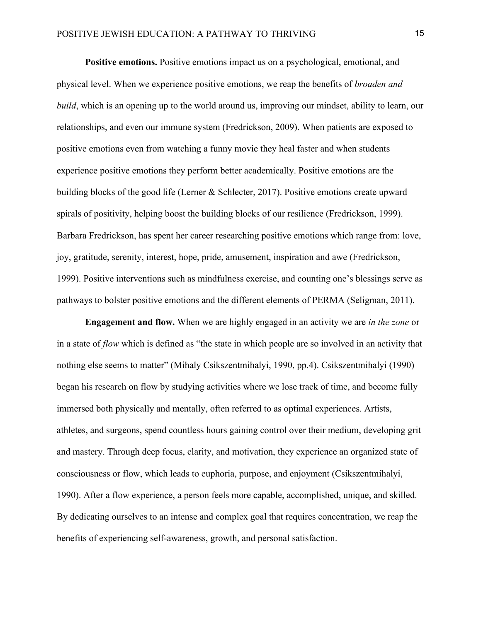**Positive emotions.** Positive emotions impact us on a psychological, emotional, and physical level. When we experience positive emotions, we reap the benefits of *broaden and build*, which is an opening up to the world around us, improving our mindset, ability to learn, our relationships, and even our immune system (Fredrickson, 2009). When patients are exposed to positive emotions even from watching a funny movie they heal faster and when students experience positive emotions they perform better academically. Positive emotions are the building blocks of the good life (Lerner & Schlecter, 2017). Positive emotions create upward spirals of positivity, helping boost the building blocks of our resilience (Fredrickson, 1999). Barbara Fredrickson, has spent her career researching positive emotions which range from: love, joy, gratitude, serenity, interest, hope, pride, amusement, inspiration and awe (Fredrickson, 1999). Positive interventions such as mindfulness exercise, and counting one's blessings serve as pathways to bolster positive emotions and the different elements of PERMA (Seligman, 2011).

**Engagement and flow.** When we are highly engaged in an activity we are *in the zone* or in a state of *flow* which is defined as "the state in which people are so involved in an activity that nothing else seems to matter" (Mihaly Csikszentmihalyi, 1990, pp.4). Csikszentmihalyi (1990) began his research on flow by studying activities where we lose track of time, and become fully immersed both physically and mentally, often referred to as optimal experiences. Artists, athletes, and surgeons, spend countless hours gaining control over their medium, developing grit and mastery. Through deep focus, clarity, and motivation, they experience an organized state of consciousness or flow, which leads to euphoria, purpose, and enjoyment (Csikszentmihalyi, 1990). After a flow experience, a person feels more capable, accomplished, unique, and skilled. By dedicating ourselves to an intense and complex goal that requires concentration, we reap the benefits of experiencing self-awareness, growth, and personal satisfaction.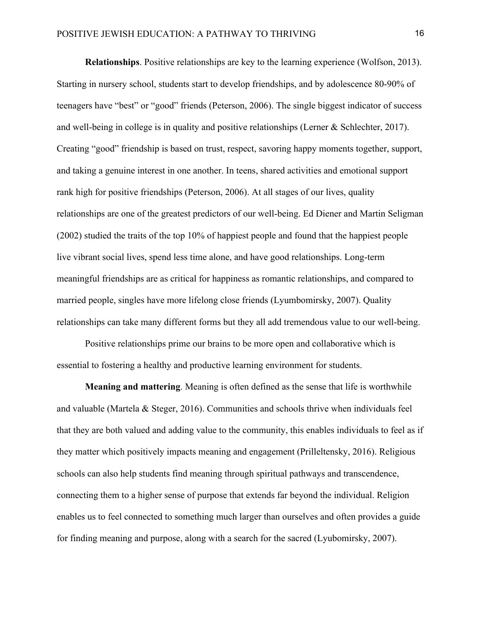**Relationships**. Positive relationships are key to the learning experience (Wolfson, 2013). Starting in nursery school, students start to develop friendships, and by adolescence 80-90% of teenagers have "best" or "good" friends (Peterson, 2006). The single biggest indicator of success and well-being in college is in quality and positive relationships (Lerner & Schlechter, 2017). Creating "good" friendship is based on trust, respect, savoring happy moments together, support, and taking a genuine interest in one another. In teens, shared activities and emotional support rank high for positive friendships (Peterson, 2006). At all stages of our lives, quality relationships are one of the greatest predictors of our well-being. Ed Diener and Martin Seligman (2002) studied the traits of the top 10% of happiest people and found that the happiest people live vibrant social lives, spend less time alone, and have good relationships. Long-term meaningful friendships are as critical for happiness as romantic relationships, and compared to married people, singles have more lifelong close friends (Lyumbomirsky, 2007). Quality relationships can take many different forms but they all add tremendous value to our well-being.

Positive relationships prime our brains to be more open and collaborative which is essential to fostering a healthy and productive learning environment for students.

**Meaning and mattering**. Meaning is often defined as the sense that life is worthwhile and valuable (Martela & Steger, 2016). Communities and schools thrive when individuals feel that they are both valued and adding value to the community, this enables individuals to feel as if they matter which positively impacts meaning and engagement (Prilleltensky, 2016). Religious schools can also help students find meaning through spiritual pathways and transcendence, connecting them to a higher sense of purpose that extends far beyond the individual. Religion enables us to feel connected to something much larger than ourselves and often provides a guide for finding meaning and purpose, along with a search for the sacred (Lyubomirsky, 2007).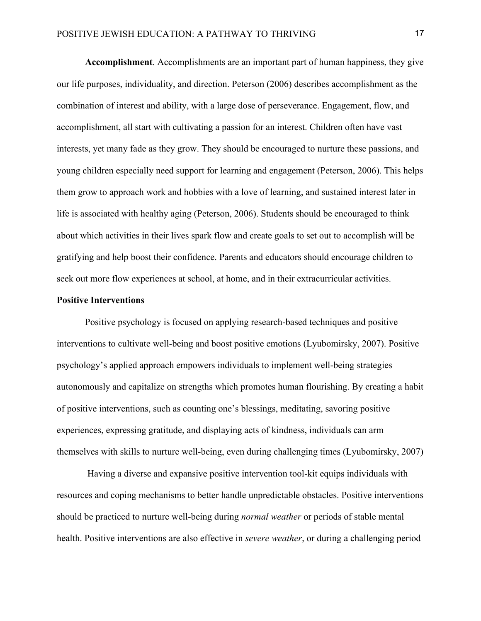**Accomplishment**. Accomplishments are an important part of human happiness, they give our life purposes, individuality, and direction. Peterson (2006) describes accomplishment as the combination of interest and ability, with a large dose of perseverance. Engagement, flow, and accomplishment, all start with cultivating a passion for an interest. Children often have vast interests, yet many fade as they grow. They should be encouraged to nurture these passions, and young children especially need support for learning and engagement (Peterson, 2006). This helps them grow to approach work and hobbies with a love of learning, and sustained interest later in life is associated with healthy aging (Peterson, 2006). Students should be encouraged to think about which activities in their lives spark flow and create goals to set out to accomplish will be gratifying and help boost their confidence. Parents and educators should encourage children to seek out more flow experiences at school, at home, and in their extracurricular activities.

# **Positive Interventions**

Positive psychology is focused on applying research-based techniques and positive interventions to cultivate well-being and boost positive emotions (Lyubomirsky, 2007). Positive psychology's applied approach empowers individuals to implement well-being strategies autonomously and capitalize on strengths which promotes human flourishing. By creating a habit of positive interventions, such as counting one's blessings, meditating, savoring positive experiences, expressing gratitude, and displaying acts of kindness, individuals can arm themselves with skills to nurture well-being, even during challenging times (Lyubomirsky, 2007)

Having a diverse and expansive positive intervention tool-kit equips individuals with resources and coping mechanisms to better handle unpredictable obstacles. Positive interventions should be practiced to nurture well-being during *normal weather* or periods of stable mental health. Positive interventions are also effective in *severe weather*, or during a challenging period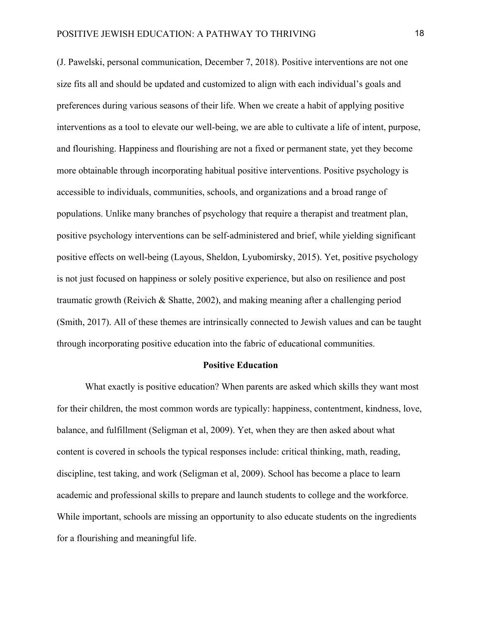(J. Pawelski, personal communication, December 7, 2018). Positive interventions are not one size fits all and should be updated and customized to align with each individual's goals and preferences during various seasons of their life. When we create a habit of applying positive interventions as a tool to elevate our well-being, we are able to cultivate a life of intent, purpose, and flourishing. Happiness and flourishing are not a fixed or permanent state, yet they become more obtainable through incorporating habitual positive interventions. Positive psychology is accessible to individuals, communities, schools, and organizations and a broad range of populations. Unlike many branches of psychology that require a therapist and treatment plan, positive psychology interventions can be self-administered and brief, while yielding significant positive effects on well-being (Layous, Sheldon, Lyubomirsky, 2015). Yet, positive psychology is not just focused on happiness or solely positive experience, but also on resilience and post traumatic growth (Reivich & Shatte, 2002), and making meaning after a challenging period (Smith, 2017). All of these themes are intrinsically connected to Jewish values and can be taught through incorporating positive education into the fabric of educational communities.

#### **Positive Education**

What exactly is positive education? When parents are asked which skills they want most for their children, the most common words are typically: happiness, contentment, kindness, love, balance, and fulfillment (Seligman et al, 2009). Yet, when they are then asked about what content is covered in schools the typical responses include: critical thinking, math, reading, discipline, test taking, and work (Seligman et al, 2009). School has become a place to learn academic and professional skills to prepare and launch students to college and the workforce. While important, schools are missing an opportunity to also educate students on the ingredients for a flourishing and meaningful life.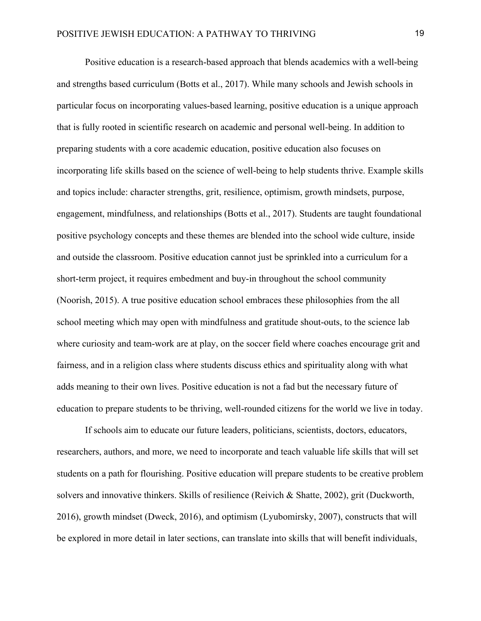Positive education is a research-based approach that blends academics with a well-being and strengths based curriculum (Botts et al., 2017). While many schools and Jewish schools in particular focus on incorporating values-based learning, positive education is a unique approach that is fully rooted in scientific research on academic and personal well-being. In addition to preparing students with a core academic education, positive education also focuses on incorporating life skills based on the science of well-being to help students thrive. Example skills and topics include: character strengths, grit, resilience, optimism, growth mindsets, purpose, engagement, mindfulness, and relationships (Botts et al., 2017). Students are taught foundational positive psychology concepts and these themes are blended into the school wide culture, inside and outside the classroom. Positive education cannot just be sprinkled into a curriculum for a short-term project, it requires embedment and buy-in throughout the school community (Noorish, 2015). A true positive education school embraces these philosophies from the all school meeting which may open with mindfulness and gratitude shout-outs, to the science lab where curiosity and team-work are at play, on the soccer field where coaches encourage grit and fairness, and in a religion class where students discuss ethics and spirituality along with what adds meaning to their own lives. Positive education is not a fad but the necessary future of education to prepare students to be thriving, well-rounded citizens for the world we live in today.

If schools aim to educate our future leaders, politicians, scientists, doctors, educators, researchers, authors, and more, we need to incorporate and teach valuable life skills that will set students on a path for flourishing. Positive education will prepare students to be creative problem solvers and innovative thinkers. Skills of resilience (Reivich & Shatte, 2002), grit (Duckworth, 2016), growth mindset (Dweck, 2016), and optimism (Lyubomirsky, 2007), constructs that will be explored in more detail in later sections, can translate into skills that will benefit individuals,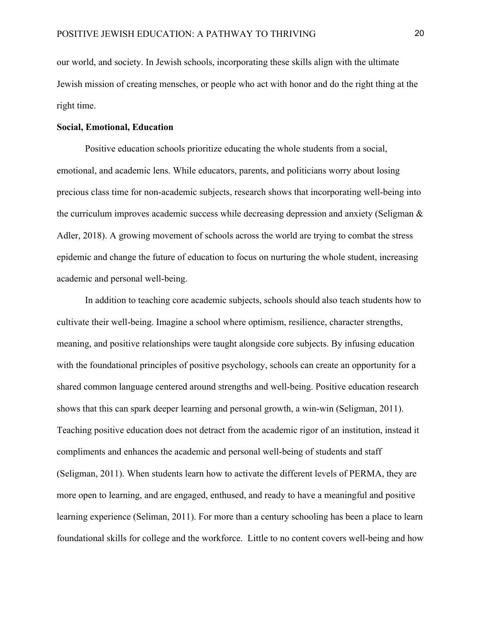our world, and society. In Jewish schools, incorporating these skills align with the ultimate Jewish mission of creating mensches, or people who act with honor and do the right thing at the right time.

# **Social, Emotional, Education**

Positive education schools prioritize educating the whole students from a social, emotional, and academic lens. While educators, parents, and politicians worry about losing precious class time for non-academic subjects, research shows that incorporating well-being into the curriculum improves academic success while decreasing depression and anxiety (Seligman  $\&$ Adler, 2018). A growing movement of schools across the world are trying to combat the stress epidemic and change the future of education to focus on nurturing the whole student, increasing academic and personal well-being.

In addition to teaching core academic subjects, schools should also teach students how to cultivate their well-being. Imagine a school where optimism, resilience, character strengths, meaning, and positive relationships were taught alongside core subjects. By infusing education with the foundational principles of positive psychology, schools can create an opportunity for a shared common language centered around strengths and well-being. Positive education research shows that this can spark deeper learning and personal growth, a win-win (Seligman, 2011). Teaching positive education does not detract from the academic rigor of an institution, instead it compliments and enhances the academic and personal well-being of students and staff (Seligman, 2011). When students learn how to activate the different levels of PERMA, they are more open to learning, and are engaged, enthused, and ready to have a meaningful and positive learning experience (Seliman, 2011). For more than a century schooling has been a place to learn foundational skills for college and the workforce. Little to no content covers well-being and how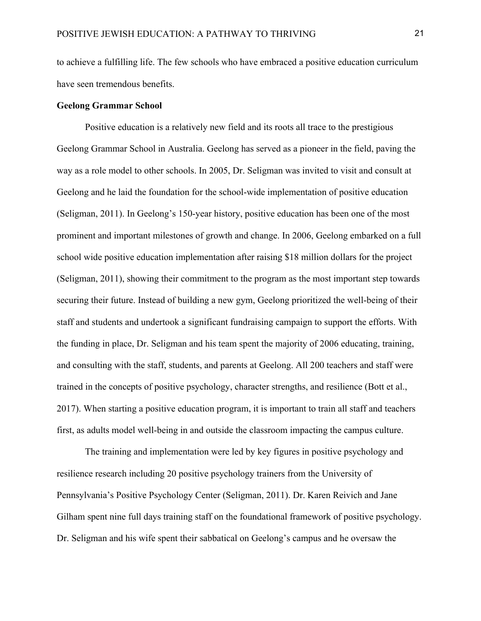to achieve a fulfilling life. The few schools who have embraced a positive education curriculum have seen tremendous benefits.

# **Geelong Grammar School**

Positive education is a relatively new field and its roots all trace to the prestigious Geelong Grammar School in Australia. Geelong has served as a pioneer in the field, paving the way as a role model to other schools. In 2005, Dr. Seligman was invited to visit and consult at Geelong and he laid the foundation for the school-wide implementation of positive education (Seligman, 2011). In Geelong's 150-year history, positive education has been one of the most prominent and important milestones of growth and change. In 2006, Geelong embarked on a full school wide positive education implementation after raising \$18 million dollars for the project (Seligman, 2011), showing their commitment to the program as the most important step towards securing their future. Instead of building a new gym, Geelong prioritized the well-being of their staff and students and undertook a significant fundraising campaign to support the efforts. With the funding in place, Dr. Seligman and his team spent the majority of 2006 educating, training, and consulting with the staff, students, and parents at Geelong. All 200 teachers and staff were trained in the concepts of positive psychology, character strengths, and resilience (Bott et al., 2017). When starting a positive education program, it is important to train all staff and teachers first, as adults model well-being in and outside the classroom impacting the campus culture.

The training and implementation were led by key figures in positive psychology and resilience research including 20 positive psychology trainers from the University of Pennsylvania's Positive Psychology Center (Seligman, 2011). Dr. Karen Reivich and Jane Gilham spent nine full days training staff on the foundational framework of positive psychology. Dr. Seligman and his wife spent their sabbatical on Geelong's campus and he oversaw the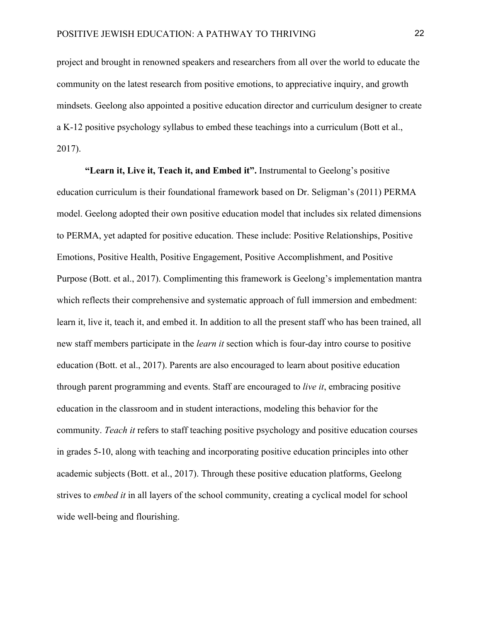project and brought in renowned speakers and researchers from all over the world to educate the community on the latest research from positive emotions, to appreciative inquiry, and growth mindsets. Geelong also appointed a positive education director and curriculum designer to create a K-12 positive psychology syllabus to embed these teachings into a curriculum (Bott et al., 2017).

**"Learn it, Live it, Teach it, and Embed it".** Instrumental to Geelong's positive education curriculum is their foundational framework based on Dr. Seligman's (2011) PERMA model. Geelong adopted their own positive education model that includes six related dimensions to PERMA, yet adapted for positive education. These include: Positive Relationships, Positive Emotions, Positive Health, Positive Engagement, Positive Accomplishment, and Positive Purpose (Bott. et al., 2017). Complimenting this framework is Geelong's implementation mantra which reflects their comprehensive and systematic approach of full immersion and embedment: learn it, live it, teach it, and embed it. In addition to all the present staff who has been trained, all new staff members participate in the *learn it* section which is four-day intro course to positive education (Bott. et al., 2017). Parents are also encouraged to learn about positive education through parent programming and events. Staff are encouraged to *live it*, embracing positive education in the classroom and in student interactions, modeling this behavior for the community. *Teach it* refers to staff teaching positive psychology and positive education courses in grades 5-10, along with teaching and incorporating positive education principles into other academic subjects (Bott. et al., 2017). Through these positive education platforms, Geelong strives to *embed it* in all layers of the school community, creating a cyclical model for school wide well-being and flourishing.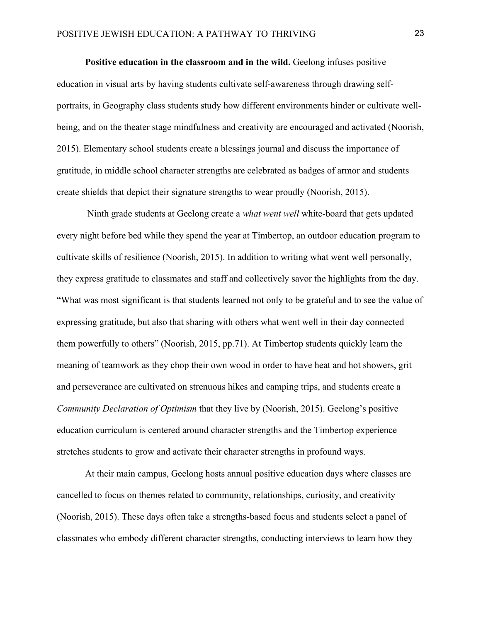**Positive education in the classroom and in the wild.** Geelong infuses positive education in visual arts by having students cultivate self-awareness through drawing selfportraits, in Geography class students study how different environments hinder or cultivate wellbeing, and on the theater stage mindfulness and creativity are encouraged and activated (Noorish, 2015). Elementary school students create a blessings journal and discuss the importance of gratitude, in middle school character strengths are celebrated as badges of armor and students create shields that depict their signature strengths to wear proudly (Noorish, 2015).

Ninth grade students at Geelong create a *what went well* white-board that gets updated every night before bed while they spend the year at Timbertop, an outdoor education program to cultivate skills of resilience (Noorish, 2015). In addition to writing what went well personally, they express gratitude to classmates and staff and collectively savor the highlights from the day. "What was most significant is that students learned not only to be grateful and to see the value of expressing gratitude, but also that sharing with others what went well in their day connected them powerfully to others" (Noorish, 2015, pp.71). At Timbertop students quickly learn the meaning of teamwork as they chop their own wood in order to have heat and hot showers, grit and perseverance are cultivated on strenuous hikes and camping trips, and students create a *Community Declaration of Optimism* that they live by (Noorish, 2015). Geelong's positive education curriculum is centered around character strengths and the Timbertop experience stretches students to grow and activate their character strengths in profound ways.

At their main campus, Geelong hosts annual positive education days where classes are cancelled to focus on themes related to community, relationships, curiosity, and creativity (Noorish, 2015). These days often take a strengths-based focus and students select a panel of classmates who embody different character strengths, conducting interviews to learn how they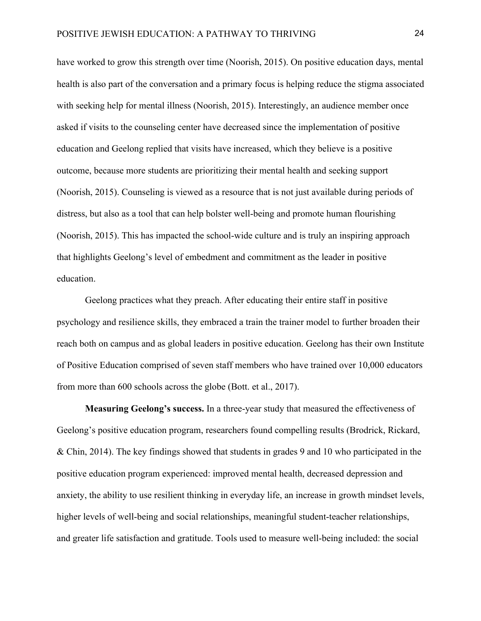have worked to grow this strength over time (Noorish, 2015). On positive education days, mental health is also part of the conversation and a primary focus is helping reduce the stigma associated with seeking help for mental illness (Noorish, 2015). Interestingly, an audience member once asked if visits to the counseling center have decreased since the implementation of positive education and Geelong replied that visits have increased, which they believe is a positive outcome, because more students are prioritizing their mental health and seeking support (Noorish, 2015). Counseling is viewed as a resource that is not just available during periods of distress, but also as a tool that can help bolster well-being and promote human flourishing (Noorish, 2015). This has impacted the school-wide culture and is truly an inspiring approach that highlights Geelong's level of embedment and commitment as the leader in positive education.

Geelong practices what they preach. After educating their entire staff in positive psychology and resilience skills, they embraced a train the trainer model to further broaden their reach both on campus and as global leaders in positive education. Geelong has their own Institute of Positive Education comprised of seven staff members who have trained over 10,000 educators from more than 600 schools across the globe (Bott. et al., 2017).

**Measuring Geelong's success.** In a three-year study that measured the effectiveness of Geelong's positive education program, researchers found compelling results (Brodrick, Rickard, & Chin, 2014). The key findings showed that students in grades 9 and 10 who participated in the positive education program experienced: improved mental health, decreased depression and anxiety, the ability to use resilient thinking in everyday life, an increase in growth mindset levels, higher levels of well-being and social relationships, meaningful student-teacher relationships, and greater life satisfaction and gratitude. Tools used to measure well-being included: the social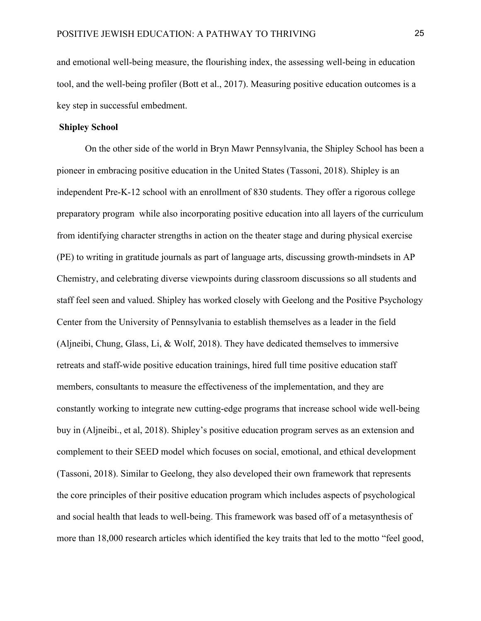and emotional well-being measure, the flourishing index, the assessing well-being in education tool, and the well-being profiler (Bott et al., 2017). Measuring positive education outcomes is a key step in successful embedment.

# **Shipley School**

On the other side of the world in Bryn Mawr Pennsylvania, the Shipley School has been a pioneer in embracing positive education in the United States (Tassoni, 2018). Shipley is an independent Pre-K-12 school with an enrollment of 830 students. They offer a rigorous college preparatory program while also incorporating positive education into all layers of the curriculum from identifying character strengths in action on the theater stage and during physical exercise (PE) to writing in gratitude journals as part of language arts, discussing growth-mindsets in AP Chemistry, and celebrating diverse viewpoints during classroom discussions so all students and staff feel seen and valued. Shipley has worked closely with Geelong and the Positive Psychology Center from the University of Pennsylvania to establish themselves as a leader in the field (Aljneibi, Chung, Glass, Li, & Wolf, 2018). They have dedicated themselves to immersive retreats and staff-wide positive education trainings, hired full time positive education staff members, consultants to measure the effectiveness of the implementation, and they are constantly working to integrate new cutting-edge programs that increase school wide well-being buy in (Aljneibi., et al, 2018). Shipley's positive education program serves as an extension and complement to their SEED model which focuses on social, emotional, and ethical development (Tassoni, 2018). Similar to Geelong, they also developed their own framework that represents the core principles of their positive education program which includes aspects of psychological and social health that leads to well-being. This framework was based off of a metasynthesis of more than 18,000 research articles which identified the key traits that led to the motto "feel good,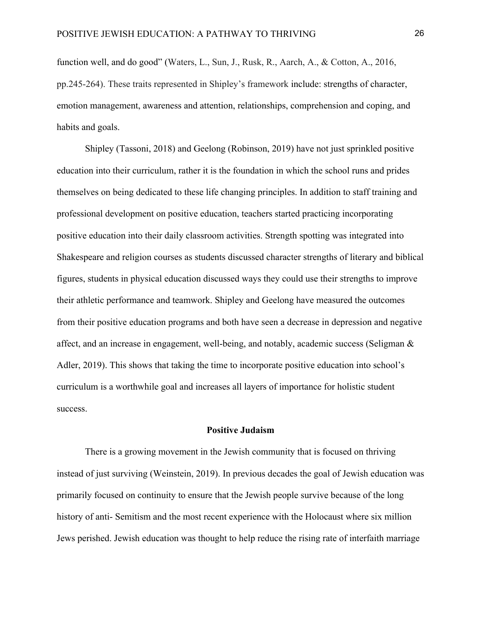function well, and do good" (Waters, L., Sun, J., Rusk, R., Aarch, A., & Cotton, A., 2016, pp.245-264). These traits represented in Shipley's framework include: strengths of character, emotion management, awareness and attention, relationships, comprehension and coping, and habits and goals.

Shipley (Tassoni, 2018) and Geelong (Robinson, 2019) have not just sprinkled positive education into their curriculum, rather it is the foundation in which the school runs and prides themselves on being dedicated to these life changing principles. In addition to staff training and professional development on positive education, teachers started practicing incorporating positive education into their daily classroom activities. Strength spotting was integrated into Shakespeare and religion courses as students discussed character strengths of literary and biblical figures, students in physical education discussed ways they could use their strengths to improve their athletic performance and teamwork. Shipley and Geelong have measured the outcomes from their positive education programs and both have seen a decrease in depression and negative affect, and an increase in engagement, well-being, and notably, academic success (Seligman  $\&$ Adler, 2019). This shows that taking the time to incorporate positive education into school's curriculum is a worthwhile goal and increases all layers of importance for holistic student success.

## **Positive Judaism**

There is a growing movement in the Jewish community that is focused on thriving instead of just surviving (Weinstein, 2019). In previous decades the goal of Jewish education was primarily focused on continuity to ensure that the Jewish people survive because of the long history of anti- Semitism and the most recent experience with the Holocaust where six million Jews perished. Jewish education was thought to help reduce the rising rate of interfaith marriage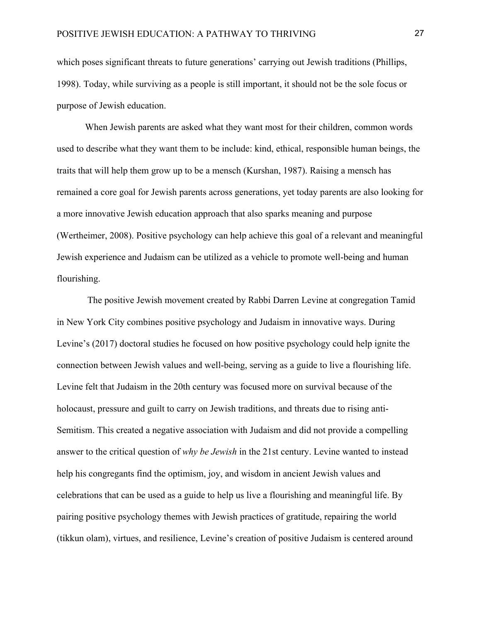which poses significant threats to future generations' carrying out Jewish traditions (Phillips, 1998). Today, while surviving as a people is still important, it should not be the sole focus or purpose of Jewish education.

When Jewish parents are asked what they want most for their children, common words used to describe what they want them to be include: kind, ethical, responsible human beings, the traits that will help them grow up to be a mensch (Kurshan, 1987). Raising a mensch has remained a core goal for Jewish parents across generations, yet today parents are also looking for a more innovative Jewish education approach that also sparks meaning and purpose (Wertheimer, 2008). Positive psychology can help achieve this goal of a relevant and meaningful Jewish experience and Judaism can be utilized as a vehicle to promote well-being and human flourishing.

The positive Jewish movement created by Rabbi Darren Levine at congregation Tamid in New York City combines positive psychology and Judaism in innovative ways. During Levine's (2017) doctoral studies he focused on how positive psychology could help ignite the connection between Jewish values and well-being, serving as a guide to live a flourishing life. Levine felt that Judaism in the 20th century was focused more on survival because of the holocaust, pressure and guilt to carry on Jewish traditions, and threats due to rising anti-Semitism. This created a negative association with Judaism and did not provide a compelling answer to the critical question of *why be Jewish* in the 21st century. Levine wanted to instead help his congregants find the optimism, joy, and wisdom in ancient Jewish values and celebrations that can be used as a guide to help us live a flourishing and meaningful life. By pairing positive psychology themes with Jewish practices of gratitude, repairing the world (tikkun olam), virtues, and resilience, Levine's creation of positive Judaism is centered around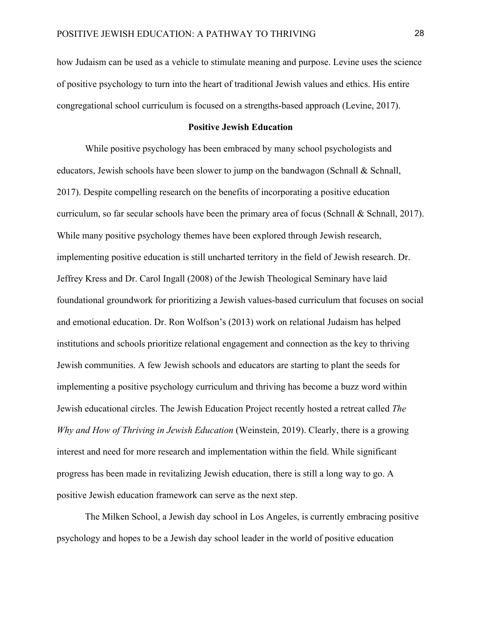how Judaism can be used as a vehicle to stimulate meaning and purpose. Levine uses the science of positive psychology to turn into the heart of traditional Jewish values and ethics. His entire congregational school curriculum is focused on a strengths-based approach (Levine, 2017).

# **Positive Jewish Education**

While positive psychology has been embraced by many school psychologists and educators, Jewish schools have been slower to jump on the bandwagon (Schnall & Schnall, 2017). Despite compelling research on the benefits of incorporating a positive education curriculum, so far secular schools have been the primary area of focus (Schnall & Schnall, 2017). While many positive psychology themes have been explored through Jewish research, implementing positive education is still uncharted territory in the field of Jewish research. Dr. Jeffrey Kress and Dr. Carol Ingall (2008) of the Jewish Theological Seminary have laid foundational groundwork for prioritizing a Jewish values-based curriculum that focuses on social and emotional education. Dr. Ron Wolfson's (2013) work on relational Judaism has helped institutions and schools prioritize relational engagement and connection as the key to thriving Jewish communities. A few Jewish schools and educators are starting to plant the seeds for implementing a positive psychology curriculum and thriving has become a buzz word within Jewish educational circles. The Jewish Education Project recently hosted a retreat called *The Why and How of Thriving in Jewish Education* (Weinstein, 2019). Clearly, there is a growing interest and need for more research and implementation within the field. While significant progress has been made in revitalizing Jewish education, there is still a long way to go. A positive Jewish education framework can serve as the next step.

The Milken School, a Jewish day school in Los Angeles, is currently embracing positive psychology and hopes to be a Jewish day school leader in the world of positive education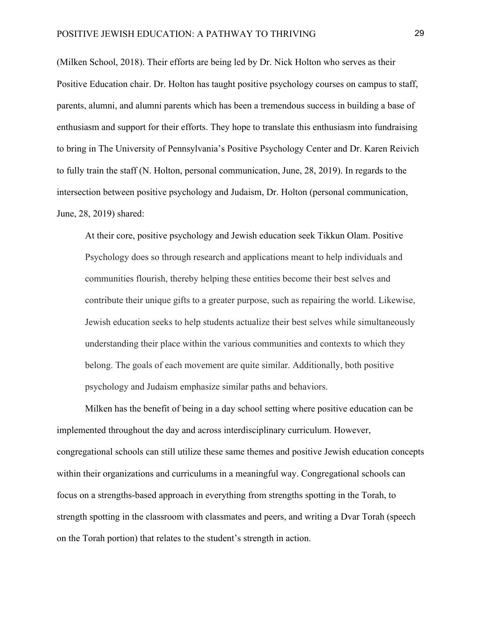(Milken School, 2018). Their efforts are being led by Dr. Nick Holton who serves as their Positive Education chair. Dr. Holton has taught positive psychology courses on campus to staff, parents, alumni, and alumni parents which has been a tremendous success in building a base of enthusiasm and support for their efforts. They hope to translate this enthusiasm into fundraising to bring in The University of Pennsylvania's Positive Psychology Center and Dr. Karen Reivich to fully train the staff (N. Holton, personal communication, June, 28, 2019). In regards to the intersection between positive psychology and Judaism, Dr. Holton (personal communication, June, 28, 2019) shared:

At their core, positive psychology and Jewish education seek Tikkun Olam. Positive Psychology does so through research and applications meant to help individuals and communities flourish, thereby helping these entities become their best selves and contribute their unique gifts to a greater purpose, such as repairing the world. Likewise, Jewish education seeks to help students actualize their best selves while simultaneously understanding their place within the various communities and contexts to which they belong. The goals of each movement are quite similar. Additionally, both positive psychology and Judaism emphasize similar paths and behaviors.

Milken has the benefit of being in a day school setting where positive education can be implemented throughout the day and across interdisciplinary curriculum. However, congregational schools can still utilize these same themes and positive Jewish education concepts within their organizations and curriculums in a meaningful way. Congregational schools can focus on a strengths-based approach in everything from strengths spotting in the Torah, to strength spotting in the classroom with classmates and peers, and writing a Dvar Torah (speech on the Torah portion) that relates to the student's strength in action.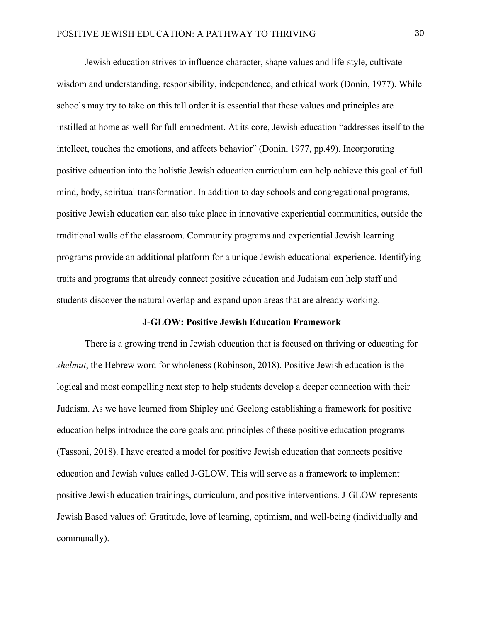Jewish education strives to influence character, shape values and life-style, cultivate wisdom and understanding, responsibility, independence, and ethical work (Donin, 1977). While schools may try to take on this tall order it is essential that these values and principles are instilled at home as well for full embedment. At its core, Jewish education "addresses itself to the intellect, touches the emotions, and affects behavior" (Donin, 1977, pp.49). Incorporating positive education into the holistic Jewish education curriculum can help achieve this goal of full mind, body, spiritual transformation. In addition to day schools and congregational programs, positive Jewish education can also take place in innovative experiential communities, outside the traditional walls of the classroom. Community programs and experiential Jewish learning programs provide an additional platform for a unique Jewish educational experience. Identifying traits and programs that already connect positive education and Judaism can help staff and students discover the natural overlap and expand upon areas that are already working.

#### **J-GLOW: Positive Jewish Education Framework**

There is a growing trend in Jewish education that is focused on thriving or educating for *shelmut*, the Hebrew word for wholeness (Robinson, 2018). Positive Jewish education is the logical and most compelling next step to help students develop a deeper connection with their Judaism. As we have learned from Shipley and Geelong establishing a framework for positive education helps introduce the core goals and principles of these positive education programs (Tassoni, 2018). I have created a model for positive Jewish education that connects positive education and Jewish values called J-GLOW. This will serve as a framework to implement positive Jewish education trainings, curriculum, and positive interventions. J-GLOW represents Jewish Based values of: Gratitude, love of learning, optimism, and well-being (individually and communally).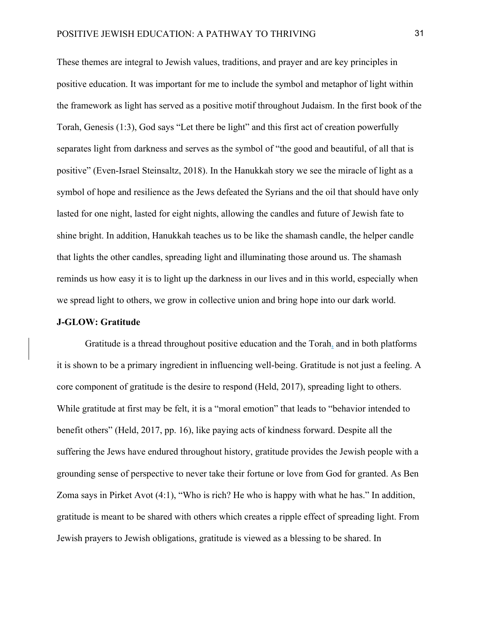These themes are integral to Jewish values, traditions, and prayer and are key principles in positive education. It was important for me to include the symbol and metaphor of light within the framework as light has served as a positive motif throughout Judaism. In the first book of the Torah, Genesis (1:3), God says "Let there be light" and this first act of creation powerfully separates light from darkness and serves as the symbol of "the good and beautiful, of all that is positive" (Even-Israel Steinsaltz, 2018). In the Hanukkah story we see the miracle of light as a symbol of hope and resilience as the Jews defeated the Syrians and the oil that should have only lasted for one night, lasted for eight nights, allowing the candles and future of Jewish fate to shine bright. In addition, Hanukkah teaches us to be like the shamash candle, the helper candle that lights the other candles, spreading light and illuminating those around us. The shamash reminds us how easy it is to light up the darkness in our lives and in this world, especially when we spread light to others, we grow in collective union and bring hope into our dark world.

# **J-GLOW: Gratitude**

Gratitude is a thread throughout positive education and the Torah, and in both platforms it is shown to be a primary ingredient in influencing well-being. Gratitude is not just a feeling. A core component of gratitude is the desire to respond (Held, 2017), spreading light to others. While gratitude at first may be felt, it is a "moral emotion" that leads to "behavior intended to benefit others" (Held, 2017, pp. 16), like paying acts of kindness forward. Despite all the suffering the Jews have endured throughout history, gratitude provides the Jewish people with a grounding sense of perspective to never take their fortune or love from God for granted. As Ben Zoma says in Pirket Avot (4:1), "Who is rich? He who is happy with what he has." In addition, gratitude is meant to be shared with others which creates a ripple effect of spreading light. From Jewish prayers to Jewish obligations, gratitude is viewed as a blessing to be shared. In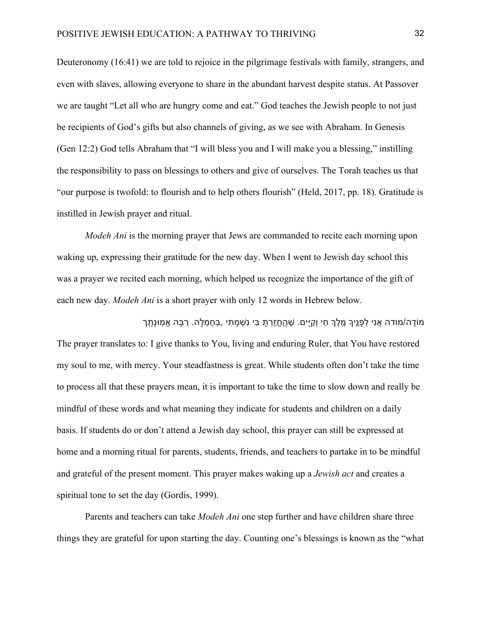Deuteronomy (16:41) we are told to rejoice in the pilgrimage festivals with family, strangers, and even with slaves, allowing everyone to share in the abundant harvest despite status. At Passover we are taught "Let all who are hungry come and eat." God teaches the Jewish people to not just be recipients of God's gifts but also channels of giving, as we see with Abraham. In Genesis (Gen 12:2) God tells Abraham that "I will bless you and I will make you a blessing," instilling the responsibility to pass on blessings to others and give of ourselves. The Torah teaches us that "our purpose is twofold: to flourish and to help others flourish" (Held, 2017, pp. 18). Gratitude is instilled in Jewish prayer and ritual.

*Modeh Ani* is the morning prayer that Jews are commanded to recite each morning upon waking up, expressing their gratitude for the new day. When I went to Jewish day school this was a prayer we recited each morning, which helped us recognize the importance of the gift of each new day. *Modeh Ani* is a short prayer with only 12 words in Hebrew below.

ְמוֹדֶה/מודה אֲנִי לְפָנֵיךָ מֶלֶךְ חַי וְקַיָּים. שֶׁהֶחֱזֶרְתָּ בִּי נִשְׁמָתִי ,בְּחֶמְלָה. רַבָּה אֱמִוּנָתֶך The prayer translates to: I give thanks to You, living and enduring Ruler, that You have restored my soul to me, with mercy. Your steadfastness is great. While students often don't take the time to process all that these prayers mean, it is important to take the time to slow down and really be mindful of these words and what meaning they indicate for students and children on a daily basis. If students do or don't attend a Jewish day school, this prayer can still be expressed at home and a morning ritual for parents, students, friends, and teachers to partake in to be mindful and grateful of the present moment. This prayer makes waking up a *Jewish act* and creates a spiritual tone to set the day (Gordis, 1999).

Parents and teachers can take *Modeh Ani* one step further and have children share three things they are grateful for upon starting the day. Counting one's blessings is known as the "what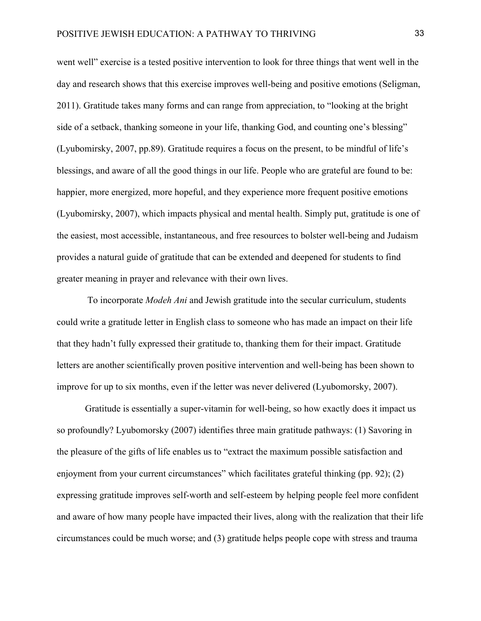went well" exercise is a tested positive intervention to look for three things that went well in the day and research shows that this exercise improves well-being and positive emotions (Seligman, 2011). Gratitude takes many forms and can range from appreciation, to "looking at the bright side of a setback, thanking someone in your life, thanking God, and counting one's blessing" (Lyubomirsky, 2007, pp.89). Gratitude requires a focus on the present, to be mindful of life's blessings, and aware of all the good things in our life. People who are grateful are found to be: happier, more energized, more hopeful, and they experience more frequent positive emotions (Lyubomirsky, 2007), which impacts physical and mental health. Simply put, gratitude is one of the easiest, most accessible, instantaneous, and free resources to bolster well-being and Judaism provides a natural guide of gratitude that can be extended and deepened for students to find greater meaning in prayer and relevance with their own lives.

To incorporate *Modeh Ani* and Jewish gratitude into the secular curriculum, students could write a gratitude letter in English class to someone who has made an impact on their life that they hadn't fully expressed their gratitude to, thanking them for their impact. Gratitude letters are another scientifically proven positive intervention and well-being has been shown to improve for up to six months, even if the letter was never delivered (Lyubomorsky, 2007).

Gratitude is essentially a super-vitamin for well-being, so how exactly does it impact us so profoundly? Lyubomorsky (2007) identifies three main gratitude pathways: (1) Savoring in the pleasure of the gifts of life enables us to "extract the maximum possible satisfaction and enjoyment from your current circumstances" which facilitates grateful thinking (pp. 92); (2) expressing gratitude improves self-worth and self-esteem by helping people feel more confident and aware of how many people have impacted their lives, along with the realization that their life circumstances could be much worse; and (3) gratitude helps people cope with stress and trauma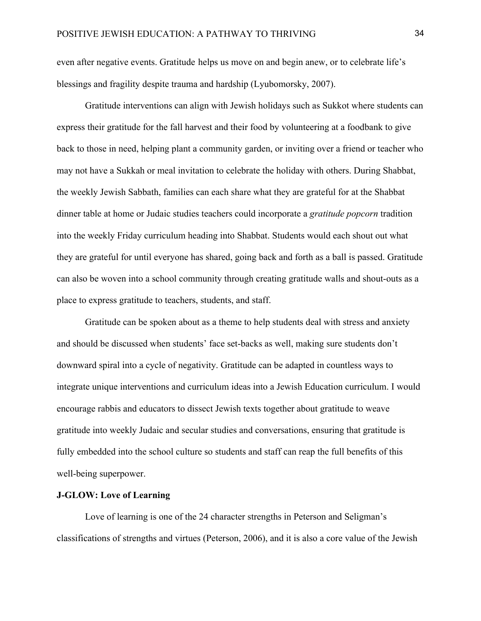even after negative events. Gratitude helps us move on and begin anew, or to celebrate life's blessings and fragility despite trauma and hardship (Lyubomorsky, 2007).

Gratitude interventions can align with Jewish holidays such as Sukkot where students can express their gratitude for the fall harvest and their food by volunteering at a foodbank to give back to those in need, helping plant a community garden, or inviting over a friend or teacher who may not have a Sukkah or meal invitation to celebrate the holiday with others. During Shabbat, the weekly Jewish Sabbath, families can each share what they are grateful for at the Shabbat dinner table at home or Judaic studies teachers could incorporate a *gratitude popcorn* tradition into the weekly Friday curriculum heading into Shabbat. Students would each shout out what they are grateful for until everyone has shared, going back and forth as a ball is passed. Gratitude can also be woven into a school community through creating gratitude walls and shout-outs as a place to express gratitude to teachers, students, and staff.

Gratitude can be spoken about as a theme to help students deal with stress and anxiety and should be discussed when students' face set-backs as well, making sure students don't downward spiral into a cycle of negativity. Gratitude can be adapted in countless ways to integrate unique interventions and curriculum ideas into a Jewish Education curriculum. I would encourage rabbis and educators to dissect Jewish texts together about gratitude to weave gratitude into weekly Judaic and secular studies and conversations, ensuring that gratitude is fully embedded into the school culture so students and staff can reap the full benefits of this well-being superpower.

# **J-GLOW: Love of Learning**

Love of learning is one of the 24 character strengths in Peterson and Seligman's classifications of strengths and virtues (Peterson, 2006), and it is also a core value of the Jewish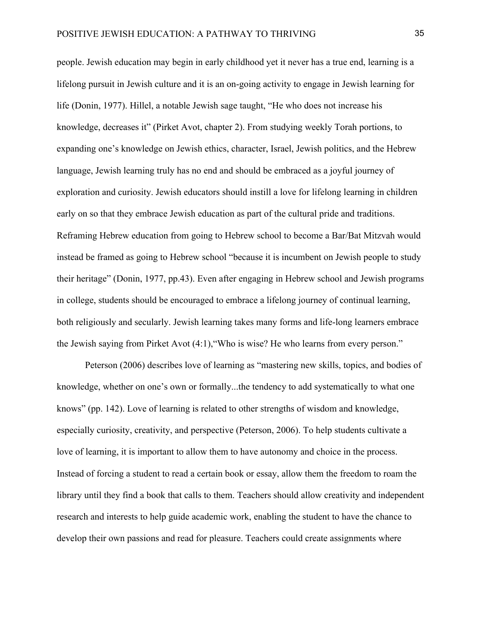people. Jewish education may begin in early childhood yet it never has a true end, learning is a lifelong pursuit in Jewish culture and it is an on-going activity to engage in Jewish learning for life (Donin, 1977). Hillel, a notable Jewish sage taught, "He who does not increase his knowledge, decreases it" (Pirket Avot, chapter 2). From studying weekly Torah portions, to expanding one's knowledge on Jewish ethics, character, Israel, Jewish politics, and the Hebrew language, Jewish learning truly has no end and should be embraced as a joyful journey of exploration and curiosity. Jewish educators should instill a love for lifelong learning in children early on so that they embrace Jewish education as part of the cultural pride and traditions. Reframing Hebrew education from going to Hebrew school to become a Bar/Bat Mitzvah would instead be framed as going to Hebrew school "because it is incumbent on Jewish people to study their heritage" (Donin, 1977, pp.43). Even after engaging in Hebrew school and Jewish programs in college, students should be encouraged to embrace a lifelong journey of continual learning, both religiously and secularly. Jewish learning takes many forms and life-long learners embrace the Jewish saying from Pirket Avot (4:1),"Who is wise? He who learns from every person."

Peterson (2006) describes love of learning as "mastering new skills, topics, and bodies of knowledge, whether on one's own or formally...the tendency to add systematically to what one knows" (pp. 142). Love of learning is related to other strengths of wisdom and knowledge, especially curiosity, creativity, and perspective (Peterson, 2006). To help students cultivate a love of learning, it is important to allow them to have autonomy and choice in the process. Instead of forcing a student to read a certain book or essay, allow them the freedom to roam the library until they find a book that calls to them. Teachers should allow creativity and independent research and interests to help guide academic work, enabling the student to have the chance to develop their own passions and read for pleasure. Teachers could create assignments where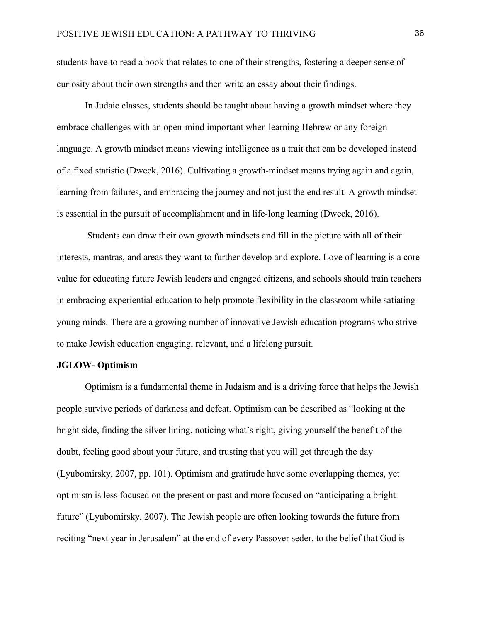students have to read a book that relates to one of their strengths, fostering a deeper sense of curiosity about their own strengths and then write an essay about their findings.

In Judaic classes, students should be taught about having a growth mindset where they embrace challenges with an open-mind important when learning Hebrew or any foreign language. A growth mindset means viewing intelligence as a trait that can be developed instead of a fixed statistic (Dweck, 2016). Cultivating a growth-mindset means trying again and again, learning from failures, and embracing the journey and not just the end result. A growth mindset is essential in the pursuit of accomplishment and in life-long learning (Dweck, 2016).

Students can draw their own growth mindsets and fill in the picture with all of their interests, mantras, and areas they want to further develop and explore. Love of learning is a core value for educating future Jewish leaders and engaged citizens, and schools should train teachers in embracing experiential education to help promote flexibility in the classroom while satiating young minds. There are a growing number of innovative Jewish education programs who strive to make Jewish education engaging, relevant, and a lifelong pursuit.

# **JGLOW- Optimism**

Optimism is a fundamental theme in Judaism and is a driving force that helps the Jewish people survive periods of darkness and defeat. Optimism can be described as "looking at the bright side, finding the silver lining, noticing what's right, giving yourself the benefit of the doubt, feeling good about your future, and trusting that you will get through the day (Lyubomirsky, 2007, pp. 101). Optimism and gratitude have some overlapping themes, yet optimism is less focused on the present or past and more focused on "anticipating a bright future" (Lyubomirsky, 2007). The Jewish people are often looking towards the future from reciting "next year in Jerusalem" at the end of every Passover seder, to the belief that God is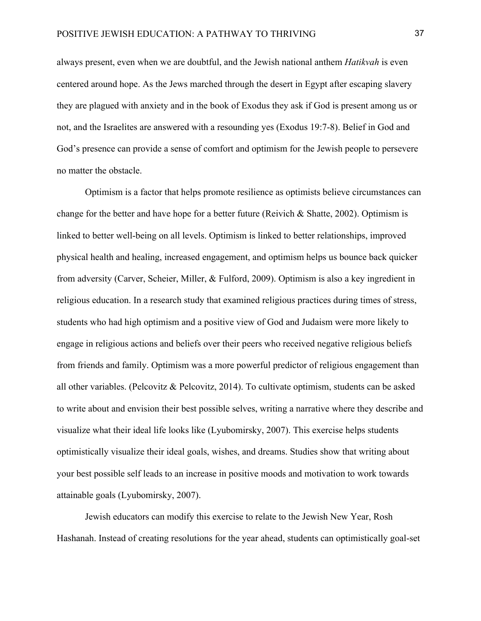always present, even when we are doubtful, and the Jewish national anthem *Hatikvah* is even centered around hope. As the Jews marched through the desert in Egypt after escaping slavery they are plagued with anxiety and in the book of Exodus they ask if God is present among us or not, and the Israelites are answered with a resounding yes (Exodus 19:7-8). Belief in God and God's presence can provide a sense of comfort and optimism for the Jewish people to persevere no matter the obstacle.

Optimism is a factor that helps promote resilience as optimists believe circumstances can change for the better and have hope for a better future (Reivich  $\&$  Shatte, 2002). Optimism is linked to better well-being on all levels. Optimism is linked to better relationships, improved physical health and healing, increased engagement, and optimism helps us bounce back quicker from adversity (Carver, Scheier, Miller, & Fulford, 2009). Optimism is also a key ingredient in religious education. In a research study that examined religious practices during times of stress, students who had high optimism and a positive view of God and Judaism were more likely to engage in religious actions and beliefs over their peers who received negative religious beliefs from friends and family. Optimism was a more powerful predictor of religious engagement than all other variables. (Pelcovitz & Pelcovitz, 2014). To cultivate optimism, students can be asked to write about and envision their best possible selves, writing a narrative where they describe and visualize what their ideal life looks like (Lyubomirsky, 2007). This exercise helps students optimistically visualize their ideal goals, wishes, and dreams. Studies show that writing about your best possible self leads to an increase in positive moods and motivation to work towards attainable goals (Lyubomirsky, 2007).

Jewish educators can modify this exercise to relate to the Jewish New Year, Rosh Hashanah. Instead of creating resolutions for the year ahead, students can optimistically goal-set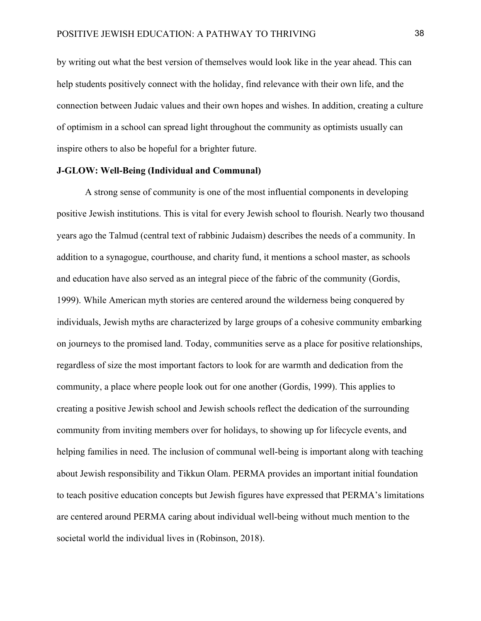by writing out what the best version of themselves would look like in the year ahead. This can help students positively connect with the holiday, find relevance with their own life, and the connection between Judaic values and their own hopes and wishes. In addition, creating a culture of optimism in a school can spread light throughout the community as optimists usually can inspire others to also be hopeful for a brighter future.

# **J-GLOW: Well-Being (Individual and Communal)**

A strong sense of community is one of the most influential components in developing positive Jewish institutions. This is vital for every Jewish school to flourish. Nearly two thousand years ago the Talmud (central text of rabbinic Judaism) describes the needs of a community. In addition to a synagogue, courthouse, and charity fund, it mentions a school master, as schools and education have also served as an integral piece of the fabric of the community (Gordis, 1999). While American myth stories are centered around the wilderness being conquered by individuals, Jewish myths are characterized by large groups of a cohesive community embarking on journeys to the promised land. Today, communities serve as a place for positive relationships, regardless of size the most important factors to look for are warmth and dedication from the community, a place where people look out for one another (Gordis, 1999). This applies to creating a positive Jewish school and Jewish schools reflect the dedication of the surrounding community from inviting members over for holidays, to showing up for lifecycle events, and helping families in need. The inclusion of communal well-being is important along with teaching about Jewish responsibility and Tikkun Olam. PERMA provides an important initial foundation to teach positive education concepts but Jewish figures have expressed that PERMA's limitations are centered around PERMA caring about individual well-being without much mention to the societal world the individual lives in (Robinson, 2018).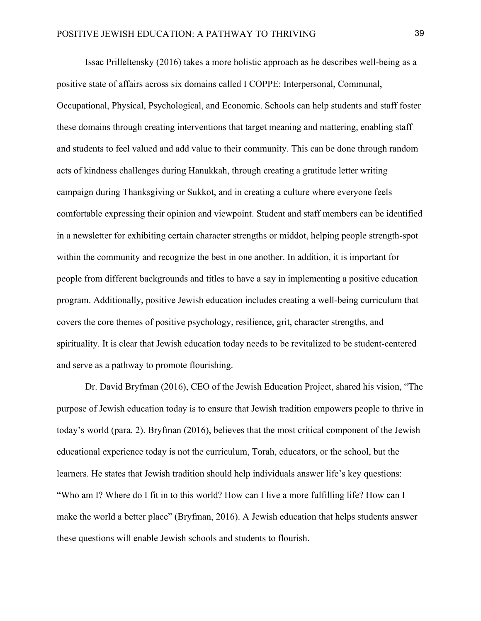Issac Prilleltensky (2016) takes a more holistic approach as he describes well-being as a positive state of affairs across six domains called I COPPE: Interpersonal, Communal, Occupational, Physical, Psychological, and Economic. Schools can help students and staff foster these domains through creating interventions that target meaning and mattering, enabling staff and students to feel valued and add value to their community. This can be done through random acts of kindness challenges during Hanukkah, through creating a gratitude letter writing campaign during Thanksgiving or Sukkot, and in creating a culture where everyone feels comfortable expressing their opinion and viewpoint. Student and staff members can be identified in a newsletter for exhibiting certain character strengths or middot, helping people strength-spot within the community and recognize the best in one another. In addition, it is important for people from different backgrounds and titles to have a say in implementing a positive education program. Additionally, positive Jewish education includes creating a well-being curriculum that covers the core themes of positive psychology, resilience, grit, character strengths, and spirituality. It is clear that Jewish education today needs to be revitalized to be student-centered and serve as a pathway to promote flourishing.

Dr. David Bryfman (2016), CEO of the Jewish Education Project, shared his vision, "The purpose of Jewish education today is to ensure that Jewish tradition empowers people to thrive in today's world (para. 2). Bryfman (2016), believes that the most critical component of the Jewish educational experience today is not the curriculum, Torah, educators, or the school, but the learners. He states that Jewish tradition should help individuals answer life's key questions: "Who am I? Where do I fit in to this world? How can I live a more fulfilling life? How can I make the world a better place" (Bryfman, 2016). A Jewish education that helps students answer these questions will enable Jewish schools and students to flourish.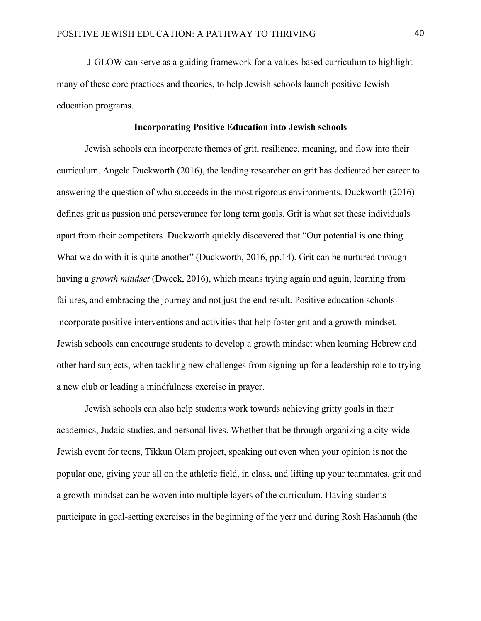J-GLOW can serve as a guiding framework for a values-based curriculum to highlight many of these core practices and theories, to help Jewish schools launch positive Jewish education programs.

# **Incorporating Positive Education into Jewish schools**

Jewish schools can incorporate themes of grit, resilience, meaning, and flow into their curriculum. Angela Duckworth (2016), the leading researcher on grit has dedicated her career to answering the question of who succeeds in the most rigorous environments. Duckworth (2016) defines grit as passion and perseverance for long term goals. Grit is what set these individuals apart from their competitors. Duckworth quickly discovered that "Our potential is one thing. What we do with it is quite another" (Duckworth, 2016, pp.14). Grit can be nurtured through having a *growth mindset* (Dweck, 2016), which means trying again and again, learning from failures, and embracing the journey and not just the end result. Positive education schools incorporate positive interventions and activities that help foster grit and a growth-mindset. Jewish schools can encourage students to develop a growth mindset when learning Hebrew and other hard subjects, when tackling new challenges from signing up for a leadership role to trying a new club or leading a mindfulness exercise in prayer.

Jewish schools can also help students work towards achieving gritty goals in their academics, Judaic studies, and personal lives. Whether that be through organizing a city-wide Jewish event for teens, Tikkun Olam project, speaking out even when your opinion is not the popular one, giving your all on the athletic field, in class, and lifting up your teammates, grit and a growth-mindset can be woven into multiple layers of the curriculum. Having students participate in goal-setting exercises in the beginning of the year and during Rosh Hashanah (the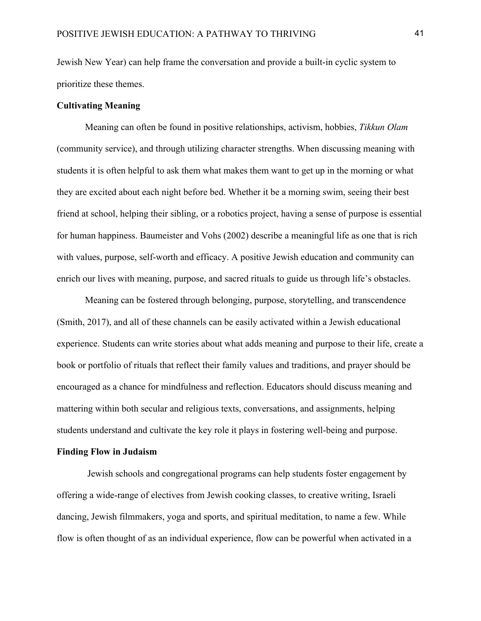Jewish New Year) can help frame the conversation and provide a built-in cyclic system to prioritize these themes.

# **Cultivating Meaning**

Meaning can often be found in positive relationships, activism, hobbies, *Tikkun Olam*  (community service), and through utilizing character strengths. When discussing meaning with students it is often helpful to ask them what makes them want to get up in the morning or what they are excited about each night before bed. Whether it be a morning swim, seeing their best friend at school, helping their sibling, or a robotics project, having a sense of purpose is essential for human happiness. Baumeister and Vohs (2002) describe a meaningful life as one that is rich with values, purpose, self-worth and efficacy. A positive Jewish education and community can enrich our lives with meaning, purpose, and sacred rituals to guide us through life's obstacles.

Meaning can be fostered through belonging, purpose, storytelling, and transcendence (Smith, 2017), and all of these channels can be easily activated within a Jewish educational experience. Students can write stories about what adds meaning and purpose to their life, create a book or portfolio of rituals that reflect their family values and traditions, and prayer should be encouraged as a chance for mindfulness and reflection. Educators should discuss meaning and mattering within both secular and religious texts, conversations, and assignments, helping students understand and cultivate the key role it plays in fostering well-being and purpose.

# **Finding Flow in Judaism**

Jewish schools and congregational programs can help students foster engagement by offering a wide-range of electives from Jewish cooking classes, to creative writing, Israeli dancing, Jewish filmmakers, yoga and sports, and spiritual meditation, to name a few. While flow is often thought of as an individual experience, flow can be powerful when activated in a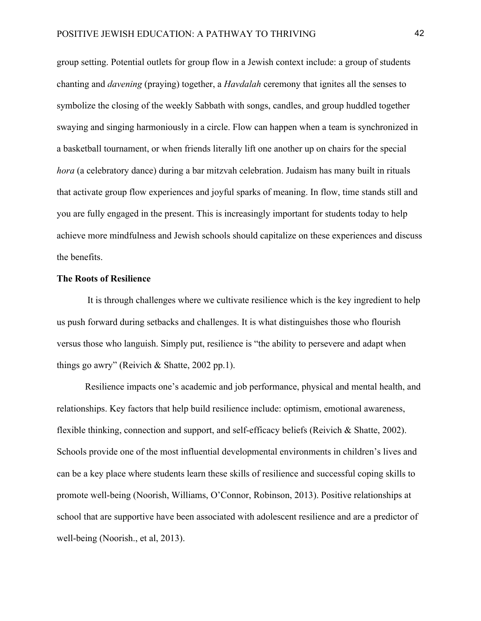group setting. Potential outlets for group flow in a Jewish context include: a group of students chanting and *davening* (praying) together, a *Havdalah* ceremony that ignites all the senses to symbolize the closing of the weekly Sabbath with songs, candles, and group huddled together swaying and singing harmoniously in a circle. Flow can happen when a team is synchronized in a basketball tournament, or when friends literally lift one another up on chairs for the special *hora* (a celebratory dance) during a bar mitzvah celebration. Judaism has many built in rituals that activate group flow experiences and joyful sparks of meaning. In flow, time stands still and you are fully engaged in the present. This is increasingly important for students today to help achieve more mindfulness and Jewish schools should capitalize on these experiences and discuss the benefits.

# **The Roots of Resilience**

It is through challenges where we cultivate resilience which is the key ingredient to help us push forward during setbacks and challenges. It is what distinguishes those who flourish versus those who languish. Simply put, resilience is "the ability to persevere and adapt when things go awry" (Reivich & Shatte, 2002 pp.1).

Resilience impacts one's academic and job performance, physical and mental health, and relationships. Key factors that help build resilience include: optimism, emotional awareness, flexible thinking, connection and support, and self-efficacy beliefs (Reivich & Shatte, 2002). Schools provide one of the most influential developmental environments in children's lives and can be a key place where students learn these skills of resilience and successful coping skills to promote well-being (Noorish, Williams, O'Connor, Robinson, 2013). Positive relationships at school that are supportive have been associated with adolescent resilience and are a predictor of well-being (Noorish., et al, 2013).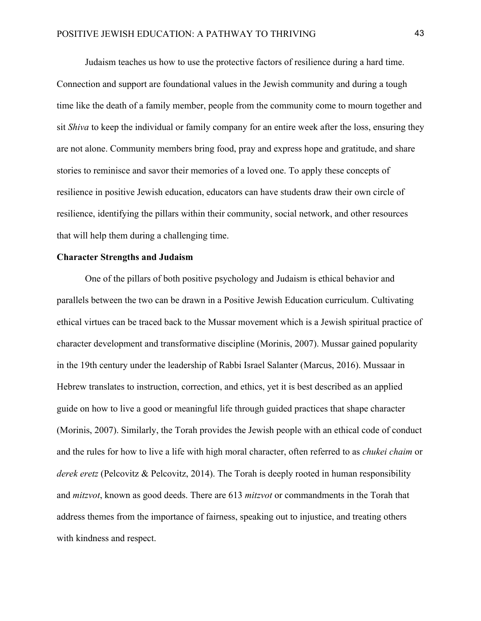Judaism teaches us how to use the protective factors of resilience during a hard time. Connection and support are foundational values in the Jewish community and during a tough time like the death of a family member, people from the community come to mourn together and sit *Shiva* to keep the individual or family company for an entire week after the loss, ensuring they are not alone. Community members bring food, pray and express hope and gratitude, and share stories to reminisce and savor their memories of a loved one. To apply these concepts of resilience in positive Jewish education, educators can have students draw their own circle of resilience, identifying the pillars within their community, social network, and other resources that will help them during a challenging time.

# **Character Strengths and Judaism**

One of the pillars of both positive psychology and Judaism is ethical behavior and parallels between the two can be drawn in a Positive Jewish Education curriculum. Cultivating ethical virtues can be traced back to the Mussar movement which is a Jewish spiritual practice of character development and transformative discipline (Morinis, 2007). Mussar gained popularity in the 19th century under the leadership of Rabbi Israel Salanter (Marcus, 2016). Mussaar in Hebrew translates to instruction, correction, and ethics, yet it is best described as an applied guide on how to live a good or meaningful life through guided practices that shape character (Morinis, 2007). Similarly, the Torah provides the Jewish people with an ethical code of conduct and the rules for how to live a life with high moral character, often referred to as *chukei chaim* or *derek eretz* (Pelcovitz & Pelcovitz, 2014). The Torah is deeply rooted in human responsibility and *mitzvot*, known as good deeds. There are 613 *mitzvot* or commandments in the Torah that address themes from the importance of fairness, speaking out to injustice, and treating others with kindness and respect.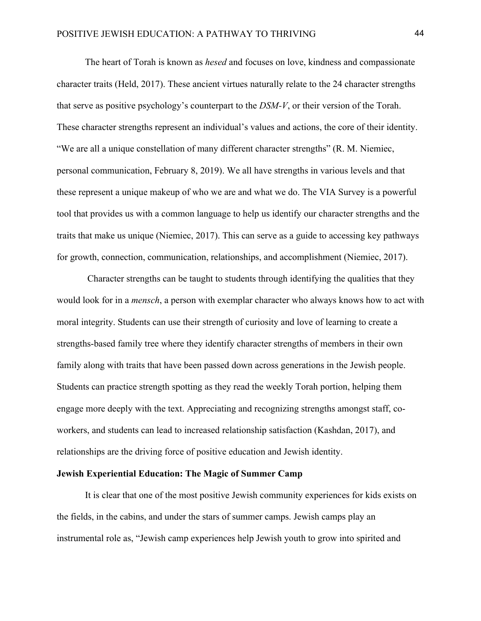The heart of Torah is known as *hesed* and focuses on love, kindness and compassionate character traits (Held, 2017). These ancient virtues naturally relate to the 24 character strengths that serve as positive psychology's counterpart to the *DSM-V*, or their version of the Torah. These character strengths represent an individual's values and actions, the core of their identity. "We are all a unique constellation of many different character strengths" (R. M. Niemiec, personal communication, February 8, 2019). We all have strengths in various levels and that these represent a unique makeup of who we are and what we do. The VIA Survey is a powerful tool that provides us with a common language to help us identify our character strengths and the traits that make us unique (Niemiec, 2017). This can serve as a guide to accessing key pathways for growth, connection, communication, relationships, and accomplishment (Niemiec, 2017).

Character strengths can be taught to students through identifying the qualities that they would look for in a *mensch*, a person with exemplar character who always knows how to act with moral integrity. Students can use their strength of curiosity and love of learning to create a strengths-based family tree where they identify character strengths of members in their own family along with traits that have been passed down across generations in the Jewish people. Students can practice strength spotting as they read the weekly Torah portion, helping them engage more deeply with the text. Appreciating and recognizing strengths amongst staff, coworkers, and students can lead to increased relationship satisfaction (Kashdan, 2017), and relationships are the driving force of positive education and Jewish identity.

# **Jewish Experiential Education: The Magic of Summer Camp**

It is clear that one of the most positive Jewish community experiences for kids exists on the fields, in the cabins, and under the stars of summer camps. Jewish camps play an instrumental role as, "Jewish camp experiences help Jewish youth to grow into spirited and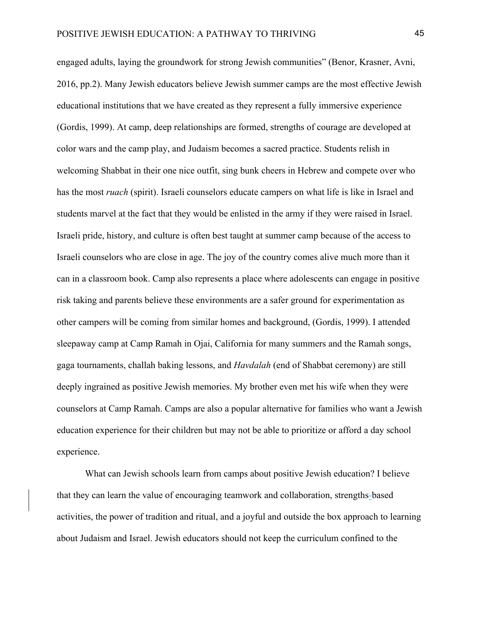engaged adults, laying the groundwork for strong Jewish communities" (Benor, Krasner, Avni, 2016, pp.2). Many Jewish educators believe Jewish summer camps are the most effective Jewish educational institutions that we have created as they represent a fully immersive experience (Gordis, 1999). At camp, deep relationships are formed, strengths of courage are developed at color wars and the camp play, and Judaism becomes a sacred practice. Students relish in welcoming Shabbat in their one nice outfit, sing bunk cheers in Hebrew and compete over who has the most *ruach* (spirit). Israeli counselors educate campers on what life is like in Israel and students marvel at the fact that they would be enlisted in the army if they were raised in Israel. Israeli pride, history, and culture is often best taught at summer camp because of the access to Israeli counselors who are close in age. The joy of the country comes alive much more than it can in a classroom book. Camp also represents a place where adolescents can engage in positive risk taking and parents believe these environments are a safer ground for experimentation as other campers will be coming from similar homes and background, (Gordis, 1999). I attended sleepaway camp at Camp Ramah in Ojai, California for many summers and the Ramah songs, gaga tournaments, challah baking lessons, and *Havdalah* (end of Shabbat ceremony) are still deeply ingrained as positive Jewish memories. My brother even met his wife when they were counselors at Camp Ramah. Camps are also a popular alternative for families who want a Jewish education experience for their children but may not be able to prioritize or afford a day school experience.

What can Jewish schools learn from camps about positive Jewish education? I believe that they can learn the value of encouraging teamwork and collaboration, strengths-based activities, the power of tradition and ritual, and a joyful and outside the box approach to learning about Judaism and Israel. Jewish educators should not keep the curriculum confined to the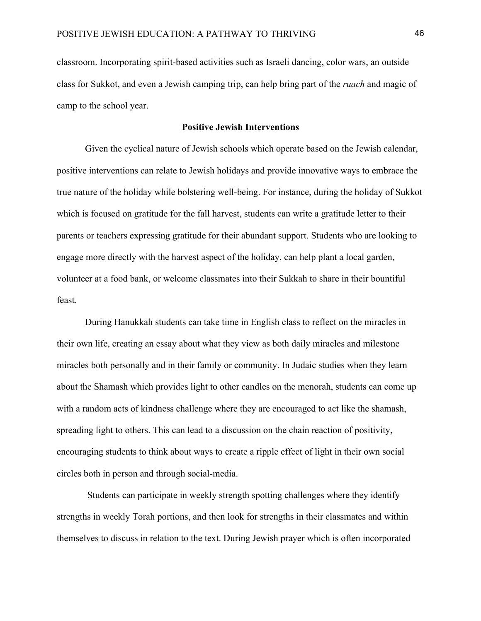classroom. Incorporating spirit-based activities such as Israeli dancing, color wars, an outside class for Sukkot, and even a Jewish camping trip, can help bring part of the *ruach* and magic of camp to the school year.

# **Positive Jewish Interventions**

Given the cyclical nature of Jewish schools which operate based on the Jewish calendar, positive interventions can relate to Jewish holidays and provide innovative ways to embrace the true nature of the holiday while bolstering well-being. For instance, during the holiday of Sukkot which is focused on gratitude for the fall harvest, students can write a gratitude letter to their parents or teachers expressing gratitude for their abundant support. Students who are looking to engage more directly with the harvest aspect of the holiday, can help plant a local garden, volunteer at a food bank, or welcome classmates into their Sukkah to share in their bountiful feast.

During Hanukkah students can take time in English class to reflect on the miracles in their own life, creating an essay about what they view as both daily miracles and milestone miracles both personally and in their family or community. In Judaic studies when they learn about the Shamash which provides light to other candles on the menorah, students can come up with a random acts of kindness challenge where they are encouraged to act like the shamash, spreading light to others. This can lead to a discussion on the chain reaction of positivity, encouraging students to think about ways to create a ripple effect of light in their own social circles both in person and through social-media.

Students can participate in weekly strength spotting challenges where they identify strengths in weekly Torah portions, and then look for strengths in their classmates and within themselves to discuss in relation to the text. During Jewish prayer which is often incorporated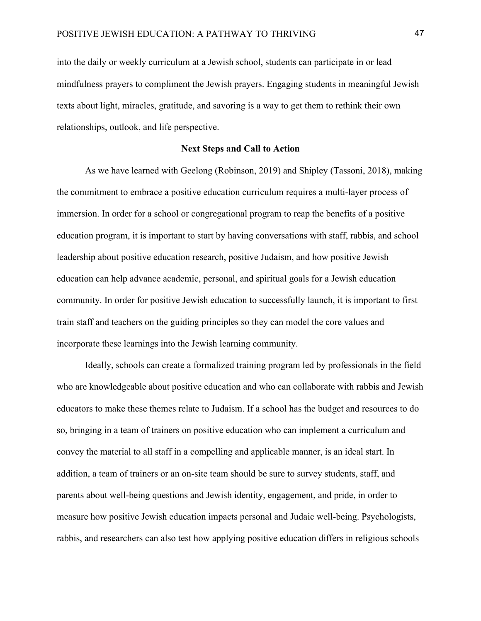into the daily or weekly curriculum at a Jewish school, students can participate in or lead mindfulness prayers to compliment the Jewish prayers. Engaging students in meaningful Jewish texts about light, miracles, gratitude, and savoring is a way to get them to rethink their own relationships, outlook, and life perspective.

# **Next Steps and Call to Action**

As we have learned with Geelong (Robinson, 2019) and Shipley (Tassoni, 2018), making the commitment to embrace a positive education curriculum requires a multi-layer process of immersion. In order for a school or congregational program to reap the benefits of a positive education program, it is important to start by having conversations with staff, rabbis, and school leadership about positive education research, positive Judaism, and how positive Jewish education can help advance academic, personal, and spiritual goals for a Jewish education community. In order for positive Jewish education to successfully launch, it is important to first train staff and teachers on the guiding principles so they can model the core values and incorporate these learnings into the Jewish learning community.

Ideally, schools can create a formalized training program led by professionals in the field who are knowledgeable about positive education and who can collaborate with rabbis and Jewish educators to make these themes relate to Judaism. If a school has the budget and resources to do so, bringing in a team of trainers on positive education who can implement a curriculum and convey the material to all staff in a compelling and applicable manner, is an ideal start. In addition, a team of trainers or an on-site team should be sure to survey students, staff, and parents about well-being questions and Jewish identity, engagement, and pride, in order to measure how positive Jewish education impacts personal and Judaic well-being. Psychologists, rabbis, and researchers can also test how applying positive education differs in religious schools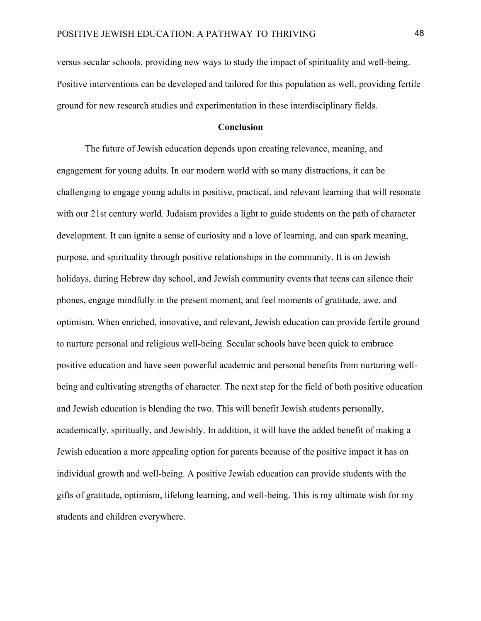versus secular schools, providing new ways to study the impact of spirituality and well-being. Positive interventions can be developed and tailored for this population as well, providing fertile ground for new research studies and experimentation in these interdisciplinary fields.

## **Conclusion**

The future of Jewish education depends upon creating relevance, meaning, and engagement for young adults. In our modern world with so many distractions, it can be challenging to engage young adults in positive, practical, and relevant learning that will resonate with our 21st century world. Judaism provides a light to guide students on the path of character development. It can ignite a sense of curiosity and a love of learning, and can spark meaning, purpose, and spirituality through positive relationships in the community. It is on Jewish holidays, during Hebrew day school, and Jewish community events that teens can silence their phones, engage mindfully in the present moment, and feel moments of gratitude, awe, and optimism. When enriched, innovative, and relevant, Jewish education can provide fertile ground to nurture personal and religious well-being. Secular schools have been quick to embrace positive education and have seen powerful academic and personal benefits from nurturing wellbeing and cultivating strengths of character. The next step for the field of both positive education and Jewish education is blending the two. This will benefit Jewish students personally, academically, spiritually, and Jewishly. In addition, it will have the added benefit of making a Jewish education a more appealing option for parents because of the positive impact it has on individual growth and well-being. A positive Jewish education can provide students with the gifts of gratitude, optimism, lifelong learning, and well-being. This is my ultimate wish for my students and children everywhere.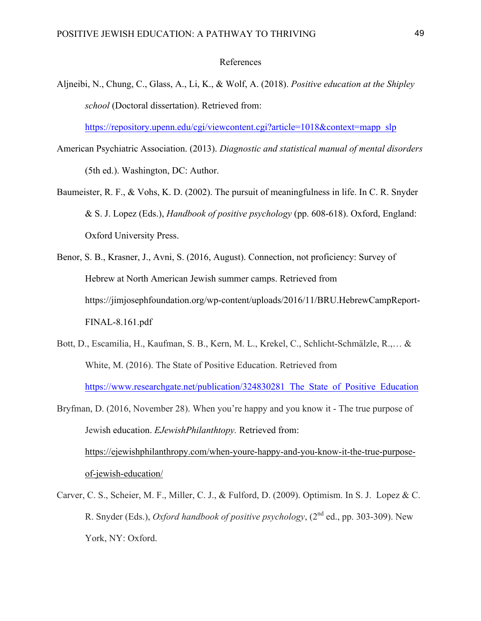# References

Aljneibi, N., Chung, C., Glass, A., Li, K., & Wolf, A. (2018). *Positive education at the Shipley school* (Doctoral dissertation). Retrieved from:

https://repository.upenn.edu/cgi/viewcontent.cgi?article=1018&context=mapp\_slp

- American Psychiatric Association. (2013). *Diagnostic and statistical manual of mental disorders* (5th ed.). Washington, DC: Author.
- Baumeister, R. F., & Vohs, K. D. (2002). The pursuit of meaningfulness in life. In C. R. Snyder & S. J. Lopez (Eds.), *Handbook of positive psychology* (pp. 608-618). Oxford, England: Oxford University Press.
- Benor, S. B., Krasner, J., Avni, S. (2016, August). Connection, not proficiency: Survey of Hebrew at North American Jewish summer camps. Retrieved from https://jimjosephfoundation.org/wp-content/uploads/2016/11/BRU.HebrewCampReport-FINAL-8.161.pdf
- Bott, D., Escamilia, H., Kaufman, S. B., Kern, M. L., Krekel, C., Schlicht-Schmälzle, R.,… & White, M. (2016). The State of Positive Education. Retrieved from https://www.researchgate.net/publication/324830281 The State of Positive Education

Bryfman, D. (2016, November 28). When you're happy and you know it - The true purpose of Jewish education. *EJewishPhilanthtopy.* Retrieved from: https://ejewishphilanthropy.com/when-youre-happy-and-you-know-it-the-true-purposeof-jewish-education/

Carver, C. S., Scheier, M. F., Miller, C. J., & Fulford, D. (2009). Optimism. In S. J. Lopez & C. R. Snyder (Eds.), *Oxford handbook of positive psychology*, (2nd ed., pp. 303-309). New York, NY: Oxford.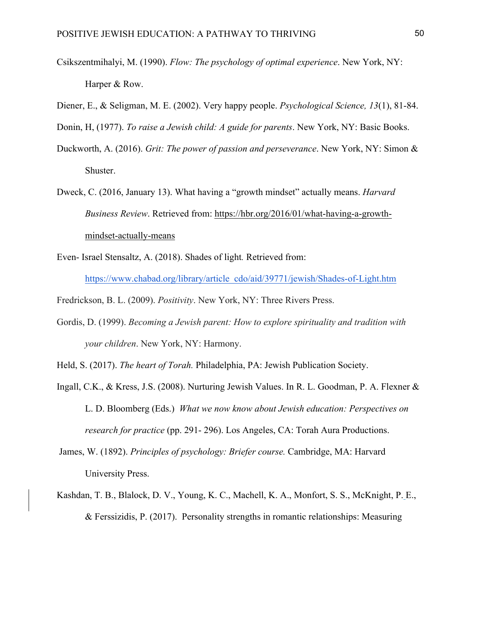- Csikszentmihalyi, M. (1990). *Flow: The psychology of optimal experience*. New York, NY: Harper & Row.
- Diener, E., & Seligman, M. E. (2002). Very happy people. *Psychological Science, 13*(1), 81-84.
- Donin, H, (1977). *To raise a Jewish child: A guide for parents*. New York, NY: Basic Books.
- Duckworth, A. (2016). *Grit: The power of passion and perseverance*. New York, NY: Simon & Shuster.
- Dweck, C. (2016, January 13). What having a "growth mindset" actually means. *Harvard Business Review*. Retrieved from: https://hbr.org/2016/01/what-having-a-growthmindset-actually-means
- Even- Israel Stensaltz, A. (2018). Shades of light*.* Retrieved from: https://www.chabad.org/library/article\_cdo/aid/39771/jewish/Shades-of-Light.htm
- Fredrickson, B. L. (2009). *Positivity*. New York, NY: Three Rivers Press.
- Gordis, D. (1999). *Becoming a Jewish parent: How to explore spirituality and tradition with your children*. New York, NY: Harmony.
- Held, S. (2017). *The heart of Torah.* Philadelphia, PA: Jewish Publication Society.
- Ingall, C.K., & Kress, J.S. (2008). Nurturing Jewish Values. In R. L. Goodman, P. A. Flexner & L. D. Bloomberg (Eds.) *What we now know about Jewish education: Perspectives on research for practice* (pp. 291- 296). Los Angeles, CA: Torah Aura Productions.
- James, W. (1892). *Principles of psychology: Briefer course.* Cambridge, MA: Harvard University Press.
- Kashdan, T. B., Blalock, D. V., Young, K. C., Machell, K. A., Monfort, S. S., McKnight, P. E., & Ferssizidis, P. (2017). Personality strengths in romantic relationships: Measuring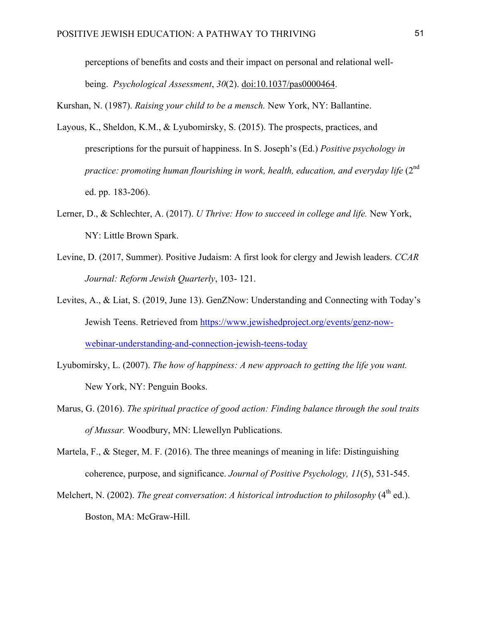perceptions of benefits and costs and their impact on personal and relational wellbeing. *Psychological Assessment*, *30*(2). doi:10.1037/pas0000464.

Kurshan, N. (1987). *Raising your child to be a mensch.* New York, NY: Ballantine.

- Layous, K., Sheldon, K.M., & Lyubomirsky, S. (2015). The prospects, practices, and prescriptions for the pursuit of happiness. In S. Joseph's (Ed.) *Positive psychology in practice: promoting human flourishing in work, health, education, and everyday life* (2<sup>nd</sup>) ed. pp. 183-206).
- Lerner, D., & Schlechter, A. (2017). *U Thrive: How to succeed in college and life.* New York, NY: Little Brown Spark.
- Levine, D. (2017, Summer). Positive Judaism: A first look for clergy and Jewish leaders. *CCAR Journal: Reform Jewish Quarterly*, 103- 121.
- Levites, A., & Liat, S. (2019, June 13). GenZNow: Understanding and Connecting with Today's Jewish Teens. Retrieved from https://www.jewishedproject.org/events/genz-nowwebinar-understanding-and-connection-jewish-teens-today
- Lyubomirsky, L. (2007). *The how of happiness: A new approach to getting the life you want.* New York, NY: Penguin Books.
- Marus, G. (2016). *The spiritual practice of good action: Finding balance through the soul traits of Mussar.* Woodbury, MN: Llewellyn Publications.
- Martela, F., & Steger, M. F. (2016). The three meanings of meaning in life: Distinguishing coherence, purpose, and significance. *Journal of Positive Psychology, 11*(5), 531-545.
- Melchert, N. (2002). *The great conversation: A historical introduction to philosophy* (4<sup>th</sup> ed.). Boston, MA: McGraw-Hill.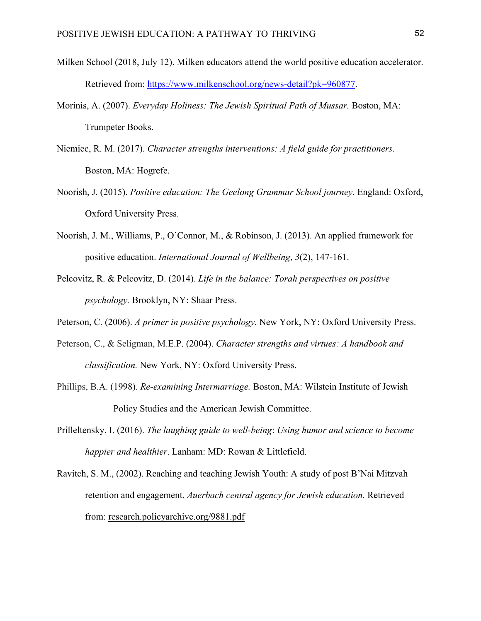- Milken School (2018, July 12). Milken educators attend the world positive education accelerator. Retrieved from: https://www.milkenschool.org/news-detail?pk=960877.
- Morinis, A. (2007). *Everyday Holiness: The Jewish Spiritual Path of Mussar.* Boston, MA: Trumpeter Books.
- Niemiec, R. M. (2017). *Character strengths interventions: A field guide for practitioners.* Boston, MA: Hogrefe.
- Noorish, J. (2015). *Positive education: The Geelong Grammar School journey*. England: Oxford, Oxford University Press.
- Noorish, J. M., Williams, P., O'Connor, M., & Robinson, J. (2013). An applied framework for positive education. *International Journal of Wellbeing*, *3*(2), 147-161.
- Pelcovitz, R. & Pelcovitz, D. (2014). *Life in the balance: Torah perspectives on positive psychology.* Brooklyn, NY: Shaar Press.
- Peterson, C. (2006). *A primer in positive psychology.* New York, NY: Oxford University Press.
- Peterson, C., & Seligman, M.E.P. (2004). *Character strengths and virtues: A handbook and classification.* New York, NY: Oxford University Press.
- Phillips, B.A. (1998). *Re-examining Intermarriage.* Boston, MA: Wilstein Institute of Jewish Policy Studies and the American Jewish Committee.
- Prilleltensky, I. (2016). *The laughing guide to well-being*: *Using humor and science to become happier and healthier*. Lanham: MD: Rowan & Littlefield.
- Ravitch, S. M., (2002). Reaching and teaching Jewish Youth: A study of post B'Nai Mitzvah retention and engagement. *Auerbach central agency for Jewish education.* Retrieved from: research.policyarchive.org/9881.pdf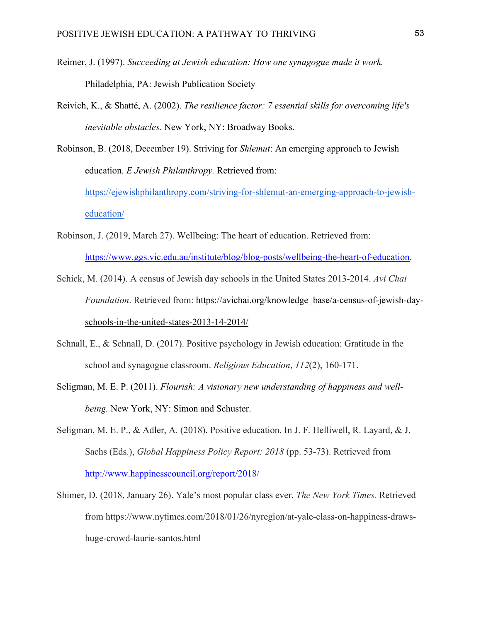- Reimer, J. (1997). *Succeeding at Jewish education: How one synagogue made it work.* Philadelphia, PA: Jewish Publication Society
- Reivich, K., & Shatté, A. (2002). *The resilience factor: 7 essential skills for overcoming life's inevitable obstacles*. New York, NY: Broadway Books.

Robinson, B. (2018, December 19). Striving for *Shlemut*: An emerging approach to Jewish education. *E Jewish Philanthropy.* Retrieved from: https://ejewishphilanthropy.com/striving-for-shlemut-an-emerging-approach-to-jewisheducation/

- Robinson, J. (2019, March 27). Wellbeing: The heart of education. Retrieved from: https://www.ggs.vic.edu.au/institute/blog/blog-posts/wellbeing-the-heart-of-education.
- Schick, M. (2014). A census of Jewish day schools in the United States 2013-2014. *Avi Chai Foundation*. Retrieved from: https://avichai.org/knowledge\_base/a-census-of-jewish-dayschools-in-the-united-states-2013-14-2014/
- Schnall, E., & Schnall, D. (2017). Positive psychology in Jewish education: Gratitude in the school and synagogue classroom. *Religious Education*, *112*(2), 160-171.
- Seligman, M. E. P. (2011). *Flourish: A visionary new understanding of happiness and wellbeing.* New York, NY: Simon and Schuster.
- Seligman, M. E. P., & Adler, A. (2018). Positive education. In J. F. Helliwell, R. Layard, & J. Sachs (Eds.), *Global Happiness Policy Report: 2018* (pp. 53-73). Retrieved from http://www.happinesscouncil.org/report/2018/
- Shimer, D. (2018, January 26). Yale's most popular class ever. *The New York Times.* Retrieved from https://www.nytimes.com/2018/01/26/nyregion/at-yale-class-on-happiness-drawshuge-crowd-laurie-santos.html